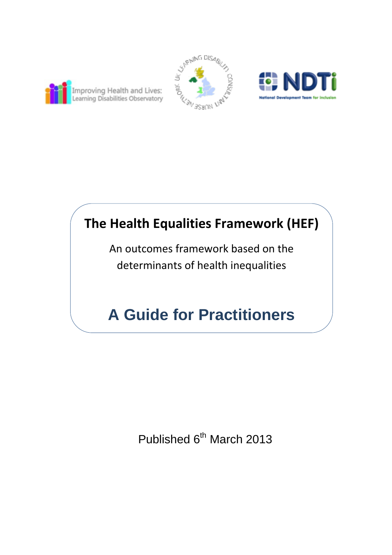





## **The Health Equalities Framework (HEF)**

An outcomes framework based on the determinants of health inequalities

# **A Guide for Practitioners**

Published 6<sup>th</sup> March 2013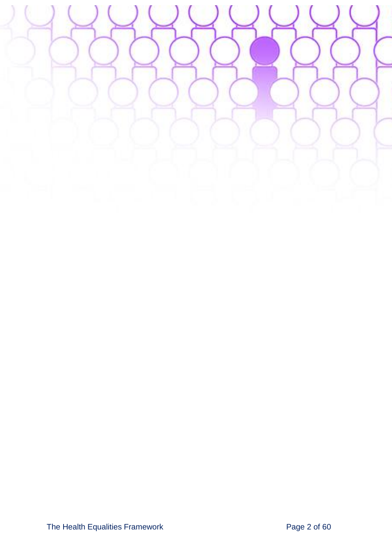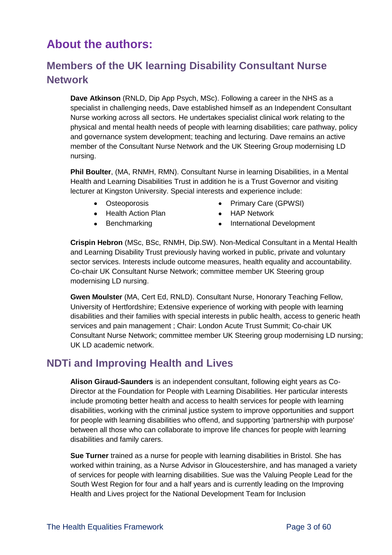## **About the authors:**

### **Members of the UK learning Disability Consultant Nurse Network**

**Dave Atkinson** (RNLD, Dip App Psych, MSc). Following a career in the NHS as a specialist in challenging needs, Dave established himself as an Independent Consultant Nurse working across all sectors. He undertakes specialist clinical work relating to the physical and mental health needs of people with learning disabilities; care pathway, policy and governance system development; teaching and lecturing. Dave remains an active member of the Consultant Nurse Network and the UK Steering Group modernising LD nursing.

**Phil Boulter**, (MA, RNMH, RMN). Consultant Nurse in learning Disabilities, in a Mental Health and Learning Disabilities Trust in addition he is a Trust Governor and visiting lecturer at Kingston University. Special interests and experience include:

- 
- Health Action Plan HAP Network
- 
- Osteoporosis Primary Care (GPWSI)
	-
- Benchmarking **International Development**

**Crispin Hebron** (MSc, BSc, RNMH, Dip.SW). Non-Medical Consultant in a Mental Health and Learning Disability Trust previously having worked in public, private and voluntary sector services. Interests include outcome measures, health equality and accountability. Co-chair UK Consultant Nurse Network; committee member UK Steering group modernising LD nursing.

**Gwen Moulster** (MA, Cert Ed, RNLD). Consultant Nurse, Honorary Teaching Fellow, University of Hertfordshire; Extensive experience of working with people with learning disabilities and their families with special interests in public health, access to generic heath services and pain management ; Chair: London Acute Trust Summit; Co-chair UK Consultant Nurse Network; committee member UK Steering group modernising LD nursing; UK LD academic network.

### **NDTi and Improving Health and Lives**

**Alison Giraud-Saunders** is an independent consultant, following eight years as Co-Director at the Foundation for People with Learning Disabilities. Her particular interests include promoting better health and access to health services for people with learning disabilities, working with the criminal justice system to improve opportunities and support for people with learning disabilities who offend, and supporting 'partnership with purpose' between all those who can collaborate to improve life chances for people with learning disabilities and family carers.

**Sue Turner** trained as a nurse for people with learning disabilities in Bristol. She has worked within training, as a Nurse Advisor in Gloucestershire, and has managed a variety of services for people with learning disabilities. Sue was the Valuing People Lead for the South West Region for four and a half years and is currently leading on the Improving Health and Lives project for the National Development Team for Inclusion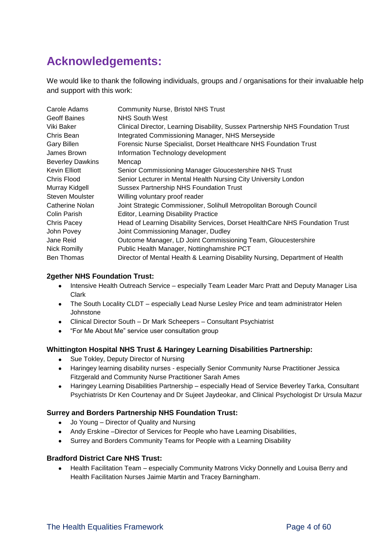## **Acknowledgements:**

We would like to thank the following individuals, groups and / organisations for their invaluable help and support with this work:

| Carole Adams            | <b>Community Nurse, Bristol NHS Trust</b>                                       |
|-------------------------|---------------------------------------------------------------------------------|
| <b>Geoff Baines</b>     | <b>NHS South West</b>                                                           |
| Viki Baker              | Clinical Director, Learning Disability, Sussex Partnership NHS Foundation Trust |
| Chris Bean              | Integrated Commissioning Manager, NHS Merseyside                                |
| Gary Billen             | Forensic Nurse Specialist, Dorset Healthcare NHS Foundation Trust               |
| James Brown             | Information Technology development                                              |
| <b>Beverley Dawkins</b> | Mencap                                                                          |
| Kevin Elliott           | Senior Commissioning Manager Gloucestershire NHS Trust                          |
| Chris Flood             | Senior Lecturer in Mental Health Nursing City University London                 |
| Murray Kidgell          | Sussex Partnership NHS Foundation Trust                                         |
| Steven Moulster         | Willing voluntary proof reader                                                  |
| Catherine Nolan         | Joint Strategic Commissioner, Solihull Metropolitan Borough Council             |
| Colin Parish            | <b>Editor, Learning Disability Practice</b>                                     |
| <b>Chris Pacey</b>      | Head of Learning Disability Services, Dorset HealthCare NHS Foundation Trust    |
| John Povey              | Joint Commissioning Manager, Dudley                                             |
| Jane Reid               | Outcome Manager, LD Joint Commissioning Team, Gloucestershire                   |
| Nick Romilly            | Public Health Manager, Nottinghamshire PCT                                      |
| Ben Thomas              | Director of Mental Health & Learning Disability Nursing, Department of Health   |

#### **2gether NHS Foundation Trust:**

- Intensive Health Outreach Service especially Team Leader Marc Pratt and Deputy Manager Lisa Clark
- The South Locality CLDT especially Lead Nurse Lesley Price and team administrator Helen Johnstone
- Clinical Director South Dr Mark Scheepers Consultant Psychiatrist
- "For Me About Me" service user consultation group

#### **Whittington Hospital NHS Trust & Haringey Learning Disabilities Partnership:**

- Sue Tokley, Deputy Director of Nursing
- Haringey learning disability nurses especially Senior Community Nurse Practitioner Jessica Fitzgerald and Community Nurse Practitioner Sarah Ames
- Haringey Learning Disabilities Partnership especially Head of Service Beverley Tarka, Consultant Psychiatrists Dr Ken Courtenay and Dr Sujeet Jaydeokar, and Clinical Psychologist Dr Ursula Mazur

#### **Surrey and Borders Partnership NHS Foundation Trust:**

- Jo Young Director of Quality and Nursing
- Andy Erskine –Director of Services for People who have Learning Disabilities,
- Surrey and Borders Community Teams for People with a Learning Disability

#### **Bradford District Care NHS Trust:**

Health Facilitation Team – especially Community Matrons Vicky Donnelly and Louisa Berry and Health Facilitation Nurses Jaimie Martin and Tracey Barningham.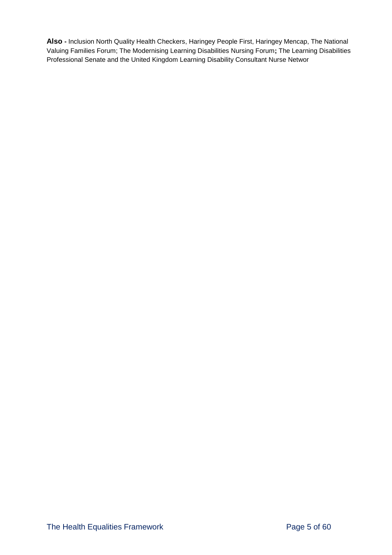**Also -** Inclusion North Quality Health Checkers, Haringey People First, Haringey Mencap, The National Valuing Families Forum; The Modernising Learning Disabilities Nursing Forum**;** The Learning Disabilities Professional Senate and the United Kingdom Learning Disability Consultant Nurse Networ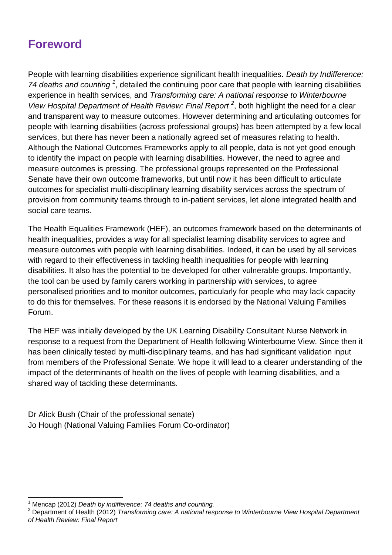## **Foreword**

People with learning disabilities experience significant health inequalities. *Death by Indifference:*  74 deaths and counting<sup>1</sup>, detailed the continuing poor care that people with learning disabilities experience in health services, and *Transforming care: A national response to Winterbourne*  View Hospital Department of Health Review: Final Report<sup>2</sup>, both highlight the need for a clear and transparent way to measure outcomes. However determining and articulating outcomes for people with learning disabilities (across professional groups) has been attempted by a few local services, but there has never been a nationally agreed set of measures relating to health. Although the National Outcomes Frameworks apply to all people, data is not yet good enough to identify the impact on people with learning disabilities. However, the need to agree and measure outcomes is pressing. The professional groups represented on the Professional Senate have their own outcome frameworks, but until now it has been difficult to articulate outcomes for specialist multi-disciplinary learning disability services across the spectrum of provision from community teams through to in-patient services, let alone integrated health and social care teams.

The Health Equalities Framework (HEF), an outcomes framework based on the determinants of health inequalities, provides a way for all specialist learning disability services to agree and measure outcomes with people with learning disabilities. Indeed, it can be used by all services with regard to their effectiveness in tackling health inequalities for people with learning disabilities. It also has the potential to be developed for other vulnerable groups. Importantly, the tool can be used by family carers working in partnership with services, to agree personalised priorities and to monitor outcomes, particularly for people who may lack capacity to do this for themselves. For these reasons it is endorsed by the National Valuing Families Forum.

The HEF was initially developed by the UK Learning Disability Consultant Nurse Network in response to a request from the Department of Health following Winterbourne View. Since then it has been clinically tested by multi-disciplinary teams, and has had significant validation input from members of the Professional Senate. We hope it will lead to a clearer understanding of the impact of the determinants of health on the lives of people with learning disabilities, and a shared way of tackling these determinants.

Dr Alick Bush (Chair of the professional senate) Jo Hough (National Valuing Families Forum Co-ordinator)

j

<sup>1</sup> Mencap (2012) *Death by indifference: 74 deaths and counting.*

<sup>2</sup> Department of Health (2012) *Transforming care: A national response to Winterbourne View Hospital Department of Health Review: Final Report*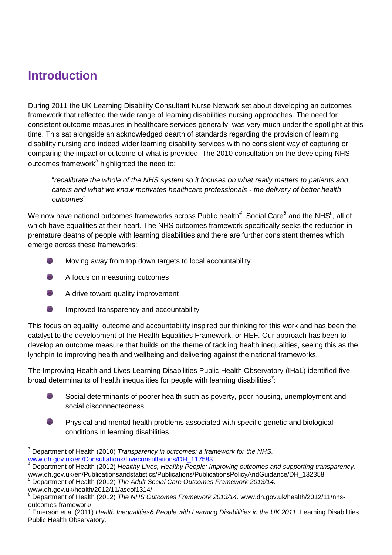## **Introduction**

During 2011 the UK Learning Disability Consultant Nurse Network set about developing an outcomes framework that reflected the wide range of learning disabilities nursing approaches. The need for consistent outcome measures in healthcare services generally, was very much under the spotlight at this time. This sat alongside an acknowledged dearth of standards regarding the provision of learning disability nursing and indeed wider learning disability services with no consistent way of capturing or comparing the impact or outcome of what is provided. The 2010 consultation on the developing NHS outcomes framework*<sup>3</sup>* highlighted the need to:

"*recalibrate the whole of the NHS system so it focuses on what really matters to patients and carers and what we know motivates healthcare professionals - the delivery of better health outcomes*"

We now have national outcomes frameworks across Public health<sup>4</sup>, Social Care<sup>5</sup> and the NHS<sup>6</sup>, all of which have equalities at their heart. The NHS outcomes framework specifically seeks the reduction in premature deaths of people with learning disabilities and there are further consistent themes which emerge across these frameworks:

- Moving away from top down targets to local accountability
- A focus on measuring outcomes
- **SP** A drive toward quality improvement
- **SP** Improved transparency and accountability

This focus on equality, outcome and accountability inspired our thinking for this work and has been the catalyst to the development of the Health Equalities Framework, or HEF. Our approach has been to develop an outcome measure that builds on the theme of tackling health inequalities, seeing this as the lynchpin to improving health and wellbeing and delivering against the national frameworks.

The Improving Health and Lives Learning Disabilities Public Health Observatory (IHaL) identified five broad determinants of health inequalities for people with learning disabilities*<sup>7</sup>* :

Social determinants of poorer health such as poverty, poor housing, unemployment and social disconnectedness

e. Physical and mental health problems associated with specific genetic and biological conditions in learning disabilities

 $\overline{\phantom{a}}$ <sup>3</sup> Department of Health (2010) *Transparency in outcomes: a framework for the NHS.*  [www.dh.gov.uk/en/Consultations/Liveconsultations/DH\\_117583](http://www.dh.gov.uk/en/Consultations/Liveconsultations/DH_117583)

<sup>4</sup> Department of Health (2012) *Healthy Lives, Healthy People: Improving outcomes and supporting transparency.*  www.dh.gov.uk/en/Publicationsandstatistics/Publications/PublicationsPolicyAndGuidance/DH\_132358

<sup>5</sup> Department of Health (2012) *The Adult Social Care Outcomes Framework 2013/14.* www.dh.gov.uk/health/2012/11/ascof1314/

<sup>6</sup> Department of Health (2012) *The NHS Outcomes Framework 2013/14.* www.dh.gov.uk/health/2012/11/nhsoutcomes-framework/

<sup>7</sup> Emerson et al (2011) *Health Inequalities& People with Learning Disabilities in the UK 2011*. Learning Disabilities Public Health Observatory.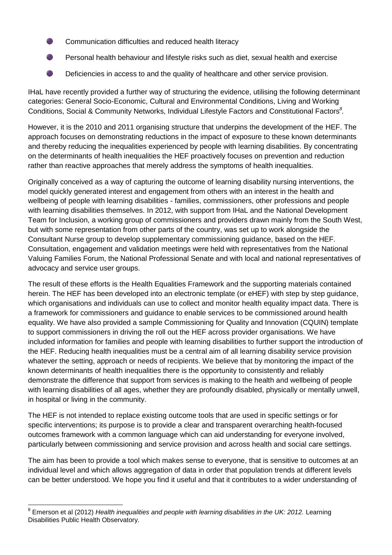- Communication difficulties and reduced health literacy
- Personal health behaviour and lifestyle risks such as diet, sexual health and exercise
- 緫 Deficiencies in access to and the quality of healthcare and other service provision.

IHaL have recently provided a further way of structuring the evidence, utilising the following determinant categories: General Socio-Economic, Cultural and Environmental Conditions, Living and Working Conditions, Social & Community Networks, Individual Lifestyle Factors and Constitutional Factors*<sup>8</sup> .*

However, it is the 2010 and 2011 organising structure that underpins the development of the HEF. The approach focuses on demonstrating reductions in the impact of exposure to these known determinants and thereby reducing the inequalities experienced by people with learning disabilities. By concentrating on the determinants of health inequalities the HEF proactively focuses on prevention and reduction rather than reactive approaches that merely address the symptoms of health inequalities.

Originally conceived as a way of capturing the outcome of learning disability nursing interventions, the model quickly generated interest and engagement from others with an interest in the health and wellbeing of people with learning disabilities - families, commissioners, other professions and people with learning disabilities themselves. In 2012, with support from IHaL and the National Development Team for Inclusion, a working group of commissioners and providers drawn mainly from the South West, but with some representation from other parts of the country, was set up to work alongside the Consultant Nurse group to develop supplementary commissioning guidance, based on the HEF. Consultation, engagement and validation meetings were held with representatives from the National Valuing Families Forum, the National Professional Senate and with local and national representatives of advocacy and service user groups.

The result of these efforts is the Health Equalities Framework and the supporting materials contained herein. The HEF has been developed into an electronic template (or eHEF) with step by step guidance, which organisations and individuals can use to collect and monitor health equality impact data. There is a framework for commissioners and guidance to enable services to be commissioned around health equality. We have also provided a sample Commissioning for Quality and Innovation (CQUIN) template to support commissioners in driving the roll out the HEF across provider organisations. We have included information for families and people with learning disabilities to further support the introduction of the HEF. Reducing health inequalities must be a central aim of all learning disability service provision whatever the setting, approach or needs of recipients. We believe that by monitoring the impact of the known determinants of health inequalities there is the opportunity to consistently and reliably demonstrate the difference that support from services is making to the health and wellbeing of people with learning disabilities of all ages, whether they are profoundly disabled, physically or mentally unwell, in hospital or living in the community.

The HEF is not intended to replace existing outcome tools that are used in specific settings or for specific interventions; its purpose is to provide a clear and transparent overarching health-focused outcomes framework with a common language which can aid understanding for everyone involved, particularly between commissioning and service provision and across health and social care settings.

The aim has been to provide a tool which makes sense to everyone, that is sensitive to outcomes at an individual level and which allows aggregation of data in order that population trends at different levels can be better understood. We hope you find it useful and that it contributes to a wider understanding of

\_\_\_\_\_\_\_\_\_\_\_\_\_\_\_\_\_\_\_\_\_\_\_\_\_\_\_\_\_\_\_\_\_<br><sup>8</sup> Emerson et al (2012) *Health inequalities and people with learning disabilities in the UK: 2012. Learning* Disabilities Public Health Observatory.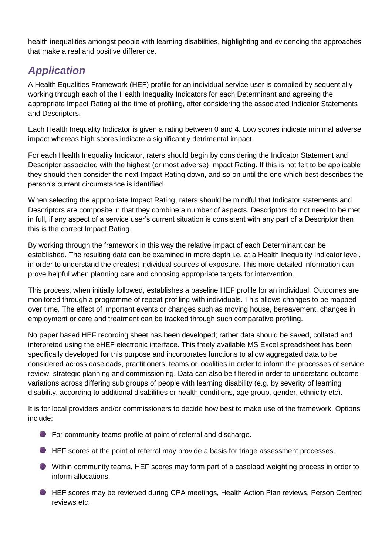health inequalities amongst people with learning disabilities, highlighting and evidencing the approaches that make a real and positive difference.

## *Application*

A Health Equalities Framework (HEF) profile for an individual service user is compiled by sequentially working through each of the Health Inequality Indicators for each Determinant and agreeing the appropriate Impact Rating at the time of profiling, after considering the associated Indicator Statements and Descriptors.

Each Health Inequality Indicator is given a rating between 0 and 4. Low scores indicate minimal adverse impact whereas high scores indicate a significantly detrimental impact.

For each Health Inequality Indicator, raters should begin by considering the Indicator Statement and Descriptor associated with the highest (or most adverse) Impact Rating. If this is not felt to be applicable they should then consider the next Impact Rating down, and so on until the one which best describes the person's current circumstance is identified.

When selecting the appropriate Impact Rating, raters should be mindful that Indicator statements and Descriptors are composite in that they combine a number of aspects. Descriptors do not need to be met in full, if any aspect of a service user's current situation is consistent with any part of a Descriptor then this is the correct Impact Rating.

By working through the framework in this way the relative impact of each Determinant can be established. The resulting data can be examined in more depth i.e. at a Health Inequality Indicator level, in order to understand the greatest individual sources of exposure. This more detailed information can prove helpful when planning care and choosing appropriate targets for intervention.

This process, when initially followed, establishes a baseline HEF profile for an individual. Outcomes are monitored through a programme of repeat profiling with individuals. This allows changes to be mapped over time. The effect of important events or changes such as moving house, bereavement, changes in employment or care and treatment can be tracked through such comparative profiling.

No paper based HEF recording sheet has been developed; rather data should be saved, collated and interpreted using the eHEF electronic interface. This freely available MS Excel spreadsheet has been specifically developed for this purpose and incorporates functions to allow aggregated data to be considered across caseloads, practitioners, teams or localities in order to inform the processes of service review, strategic planning and commissioning. Data can also be filtered in order to understand outcome variations across differing sub groups of people with learning disability (e.g. by severity of learning disability, according to additional disabilities or health conditions, age group, gender, ethnicity etc).

It is for local providers and/or commissioners to decide how best to make use of the framework. Options include:

- For community teams profile at point of referral and discharge.
- HEF scores at the point of referral may provide a basis for triage assessment processes.
- Within community teams, HEF scores may form part of a caseload weighting process in order to inform allocations.
- HEF scores may be reviewed during CPA meetings, Health Action Plan reviews, Person Centred reviews etc.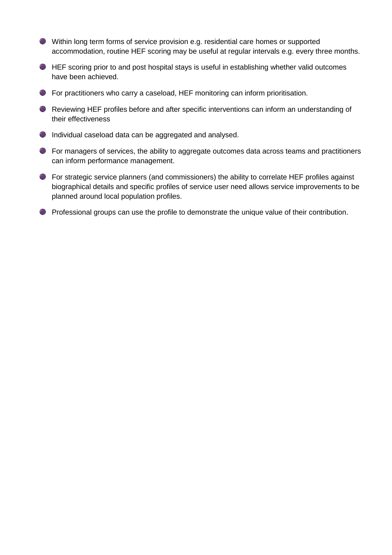- Within long term forms of service provision e.g. residential care homes or supported accommodation, routine HEF scoring may be useful at regular intervals e.g. every three months.
- HEF scoring prior to and post hospital stays is useful in establishing whether valid outcomes have been achieved.
- **For practitioners who carry a caseload, HEF monitoring can inform prioritisation.**
- **Reviewing HEF profiles before and after specific interventions can inform an understanding of** their effectiveness
- Individual caseload data can be aggregated and analysed.
- For managers of services, the ability to aggregate outcomes data across teams and practitioners can inform performance management.
- For strategic service planners (and commissioners) the ability to correlate HEF profiles against biographical details and specific profiles of service user need allows service improvements to be planned around local population profiles.
- **Professional groups can use the profile to demonstrate the unique value of their contribution.**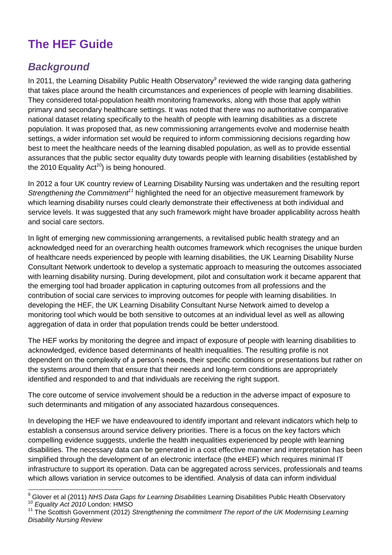## **The HEF Guide**

### *Background*

In 2011, the Learning Disability Public Health Observatory*<sup>9</sup>* reviewed the wide ranging data gathering that takes place around the health circumstances and experiences of people with learning disabilities. They considered total-population health monitoring frameworks, along with those that apply within primary and secondary healthcare settings. It was noted that there was no authoritative comparative national dataset relating specifically to the health of people with learning disabilities as a discrete population. It was proposed that, as new commissioning arrangements evolve and modernise health settings, a wider information set would be required to inform commissioning decisions regarding how best to meet the healthcare needs of the learning disabled population, as well as to provide essential assurances that the public sector equality duty towards people with learning disabilities (established by the 2010 Equality Act*<sup>10</sup>*) is being honoured.

In 2012 a four UK country review of Learning Disability Nursing was undertaken and the resulting report *Strengthening the Commitment<sup>11</sup>* highlighted the need for an objective measurement framework by which learning disability nurses could clearly demonstrate their effectiveness at both individual and service levels. It was suggested that any such framework might have broader applicability across health and social care sectors.

In light of emerging new commissioning arrangements, a revitalised public health strategy and an acknowledged need for an overarching health outcomes framework which recognises the unique burden of healthcare needs experienced by people with learning disabilities, the UK Learning Disability Nurse Consultant Network undertook to develop a systematic approach to measuring the outcomes associated with learning disability nursing. During development, pilot and consultation work it became apparent that the emerging tool had broader application in capturing outcomes from all professions and the contribution of social care services to improving outcomes for people with learning disabilities. In developing the HEF, the UK Learning Disability Consultant Nurse Network aimed to develop a monitoring tool which would be both sensitive to outcomes at an individual level as well as allowing aggregation of data in order that population trends could be better understood.

The HEF works by monitoring the degree and impact of exposure of people with learning disabilities to acknowledged, evidence based determinants of health inequalities. The resulting profile is not dependent on the complexity of a person's needs, their specific conditions or presentations but rather on the systems around them that ensure that their needs and long-term conditions are appropriately identified and responded to and that individuals are receiving the right support.

The core outcome of service involvement should be a reduction in the adverse impact of exposure to such determinants and mitigation of any associated hazardous consequences.

In developing the HEF we have endeavoured to identify important and relevant indicators which help to establish a consensus around service delivery priorities. There is a focus on the key factors which compelling evidence suggests, underlie the health inequalities experienced by people with learning disabilities. The necessary data can be generated in a cost effective manner and interpretation has been simplified through the development of an electronic interface (the eHEF) which requires minimal IT infrastructure to support its operation. Data can be aggregated across services, professionals and teams which allows variation in service outcomes to be identified. Analysis of data can inform individual

 $\overline{\phantom{a}}$ <sup>9</sup> Glover et al (2011) *NHS Data Gaps for Learning Disabilities* Learning Disabilities Public Health Observatory <sup>10</sup> *Equality Act 2010* London: HMSO

<sup>&</sup>lt;sup>11</sup> The Scottish Government (2012) Strengthening the commitment The report of the UK Modernising Learning *Disability Nursing Review*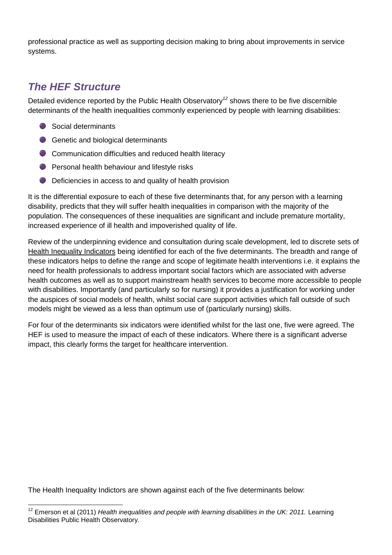professional practice as well as supporting decision making to bring about improvements in service systems.

### *The HEF Structure*

Detailed evidence reported by the Public Health Observatory*<sup>12</sup>* shows there to be five discernible determinants of the health inequalities commonly experienced by people with learning disabilities:

- Social determinants
- Genetic and biological determinants
- **Communication difficulties and reduced health literacy**
- **Personal health behaviour and lifestyle risks**
- **Deficiencies in access to and quality of health provision**

It is the differential exposure to each of these five determinants that, for any person with a learning disability, predicts that they will suffer health inequalities in comparison with the majority of the population. The consequences of these inequalities are significant and include premature mortality, increased experience of ill health and impoverished quality of life.

Review of the underpinning evidence and consultation during scale development, led to discrete sets of Health Inequality Indicators being identified for each of the five determinants. The breadth and range of these indicators helps to define the range and scope of legitimate health interventions i.e. it explains the need for health professionals to address important social factors which are associated with adverse health outcomes as well as to support mainstream health services to become more accessible to people with disabilities. Importantly (and particularly so for nursing) it provides a justification for working under the auspices of social models of health, whilst social care support activities which fall outside of such models might be viewed as a less than optimum use of (particularly nursing) skills.

For four of the determinants six indicators were identified whilst for the last one, five were agreed. The HEF is used to measure the impact of each of these indicators. Where there is a significant adverse impact, this clearly forms the target for healthcare intervention.

The Health Inequality Indictors are shown against each of the five determinants below:

 $\overline{a}$ <sup>12</sup> Emerson et al (2011) *Health inequalities and people with learning disabilities in the UK: 2011.* Learning Disabilities Public Health Observatory.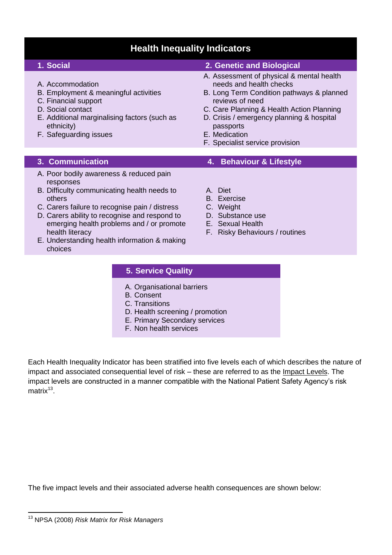| <b>Health Inequality Indicators</b>                                                                                                                                                                                                                                                                                                         |                                                                              |                                                                                                                                                                                                                                                                                                 |  |
|---------------------------------------------------------------------------------------------------------------------------------------------------------------------------------------------------------------------------------------------------------------------------------------------------------------------------------------------|------------------------------------------------------------------------------|-------------------------------------------------------------------------------------------------------------------------------------------------------------------------------------------------------------------------------------------------------------------------------------------------|--|
| 1. Social                                                                                                                                                                                                                                                                                                                                   |                                                                              | <b>2. Genetic and Biological</b>                                                                                                                                                                                                                                                                |  |
| A. Accommodation<br>B. Employment & meaningful activities<br>C. Financial support<br>D. Social contact<br>E. Additional marginalising factors (such as<br>ethnicity)<br>F. Safeguarding issues                                                                                                                                              |                                                                              | A. Assessment of physical & mental health<br>needs and health checks<br>B. Long Term Condition pathways & planned<br>reviews of need<br>C. Care Planning & Health Action Planning<br>D. Crisis / emergency planning & hospital<br>passports<br>E. Medication<br>F. Specialist service provision |  |
| 3. Communication                                                                                                                                                                                                                                                                                                                            |                                                                              | 4. Behaviour & Lifestyle                                                                                                                                                                                                                                                                        |  |
| A. Poor bodily awareness & reduced pain<br>responses<br>B. Difficulty communicating health needs to<br>others<br>C. Carers failure to recognise pain / distress<br>D. Carers ability to recognise and respond to<br>emerging health problems and / or promote<br>health literacy<br>E. Understanding health information & making<br>choices |                                                                              | A. Diet<br><b>B.</b> Exercise<br>C. Weight<br>D. Substance use<br>E. Sexual Health<br>F. Risky Behaviours / routines                                                                                                                                                                            |  |
|                                                                                                                                                                                                                                                                                                                                             | <b>5. Service Quality</b><br>A. Organisational barriers<br><b>B.</b> Consent |                                                                                                                                                                                                                                                                                                 |  |

- C. Transitions
- D. Health screening / promotion
- E. Primary Secondary services
- F. Non health services

Each Health Inequality Indicator has been stratified into five levels each of which describes the nature of impact and associated consequential level of risk – these are referred to as the Impact Levels. The impact levels are constructed in a manner compatible with the National Patient Safety Agency's risk matrix<sup>13</sup>.

The five impact levels and their associated adverse health consequences are shown below:

 $\overline{1}$ <sup>13</sup> NPSA (2008) *Risk Matrix for Risk Managers*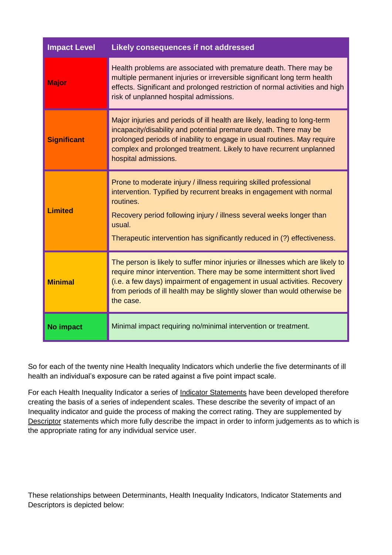| <b>Impact Level</b> | <b>Likely consequences if not addressed</b>                                                                                                                                                                                                                                                                                    |
|---------------------|--------------------------------------------------------------------------------------------------------------------------------------------------------------------------------------------------------------------------------------------------------------------------------------------------------------------------------|
| <b>Major</b>        | Health problems are associated with premature death. There may be<br>multiple permanent injuries or irreversible significant long term health<br>effects. Significant and prolonged restriction of normal activities and high<br>risk of unplanned hospital admissions.                                                        |
| <b>Significant</b>  | Major injuries and periods of ill health are likely, leading to long-term<br>incapacity/disability and potential premature death. There may be<br>prolonged periods of inability to engage in usual routines. May require<br>complex and prolonged treatment. Likely to have recurrent unplanned<br>hospital admissions.       |
| <b>Limited</b>      | Prone to moderate injury / illness requiring skilled professional<br>intervention. Typified by recurrent breaks in engagement with normal<br>routines.<br>Recovery period following injury / illness several weeks longer than<br>usual.<br>Therapeutic intervention has significantly reduced in (?) effectiveness.           |
| <b>Minimal</b>      | The person is likely to suffer minor injuries or illnesses which are likely to<br>require minor intervention. There may be some intermittent short lived<br>(i.e. a few days) impairment of engagement in usual activities. Recovery<br>from periods of ill health may be slightly slower than would otherwise be<br>the case. |
| <b>No impact</b>    | Minimal impact requiring no/minimal intervention or treatment.                                                                                                                                                                                                                                                                 |

So for each of the twenty nine Health Inequality Indicators which underlie the five determinants of ill health an individual's exposure can be rated against a five point impact scale.

For each Health Inequality Indicator a series of Indicator Statements have been developed therefore creating the basis of a series of independent scales. These describe the severity of impact of an Inequality indicator and guide the process of making the correct rating. They are supplemented by Descriptor statements which more fully describe the impact in order to inform judgements as to which is the appropriate rating for any individual service user.

These relationships between Determinants, Health Inequality Indicators, Indicator Statements and Descriptors is depicted below: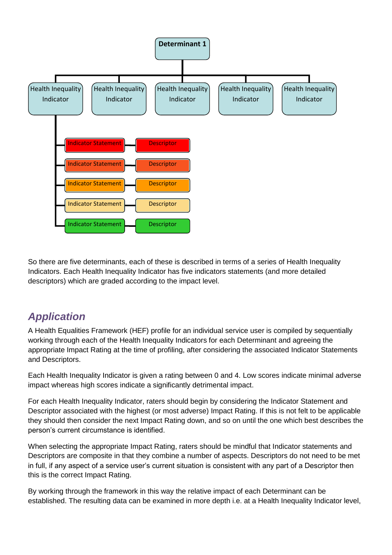

So there are five determinants, each of these is described in terms of a series of Health Inequality Indicators. Each Health Inequality Indicator has five indicators statements (and more detailed descriptors) which are graded according to the impact level.

### *Application*

A Health Equalities Framework (HEF) profile for an individual service user is compiled by sequentially working through each of the Health Inequality Indicators for each Determinant and agreeing the appropriate Impact Rating at the time of profiling, after considering the associated Indicator Statements and Descriptors.

Each Health Inequality Indicator is given a rating between 0 and 4. Low scores indicate minimal adverse impact whereas high scores indicate a significantly detrimental impact.

For each Health Inequality Indicator, raters should begin by considering the Indicator Statement and Descriptor associated with the highest (or most adverse) Impact Rating. If this is not felt to be applicable they should then consider the next Impact Rating down, and so on until the one which best describes the person's current circumstance is identified.

When selecting the appropriate Impact Rating, raters should be mindful that Indicator statements and Descriptors are composite in that they combine a number of aspects. Descriptors do not need to be met in full, if any aspect of a service user's current situation is consistent with any part of a Descriptor then this is the correct Impact Rating.

By working through the framework in this way the relative impact of each Determinant can be established. The resulting data can be examined in more depth i.e. at a Health Inequality Indicator level,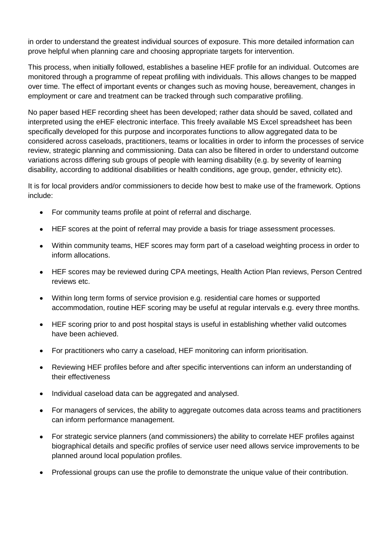in order to understand the greatest individual sources of exposure. This more detailed information can prove helpful when planning care and choosing appropriate targets for intervention.

This process, when initially followed, establishes a baseline HEF profile for an individual. Outcomes are monitored through a programme of repeat profiling with individuals. This allows changes to be mapped over time. The effect of important events or changes such as moving house, bereavement, changes in employment or care and treatment can be tracked through such comparative profiling.

No paper based HEF recording sheet has been developed; rather data should be saved, collated and interpreted using the eHEF electronic interface. This freely available MS Excel spreadsheet has been specifically developed for this purpose and incorporates functions to allow aggregated data to be considered across caseloads, practitioners, teams or localities in order to inform the processes of service review, strategic planning and commissioning. Data can also be filtered in order to understand outcome variations across differing sub groups of people with learning disability (e.g. by severity of learning disability, according to additional disabilities or health conditions, age group, gender, ethnicity etc).

It is for local providers and/or commissioners to decide how best to make use of the framework. Options include:

- For community teams profile at point of referral and discharge.  $\bullet$
- HEF scores at the point of referral may provide a basis for triage assessment processes.
- Within community teams, HEF scores may form part of a caseload weighting process in order to inform allocations.
- HEF scores may be reviewed during CPA meetings, Health Action Plan reviews, Person Centred reviews etc.
- Within long term forms of service provision e.g. residential care homes or supported accommodation, routine HEF scoring may be useful at regular intervals e.g. every three months.
- HEF scoring prior to and post hospital stays is useful in establishing whether valid outcomes  $\bullet$ have been achieved.
- For practitioners who carry a caseload, HEF monitoring can inform prioritisation.  $\bullet$
- Reviewing HEF profiles before and after specific interventions can inform an understanding of their effectiveness
- Individual caseload data can be aggregated and analysed.
- For managers of services, the ability to aggregate outcomes data across teams and practitioners  $\bullet$ can inform performance management.
- For strategic service planners (and commissioners) the ability to correlate HEF profiles against biographical details and specific profiles of service user need allows service improvements to be planned around local population profiles.
- Professional groups can use the profile to demonstrate the unique value of their contribution.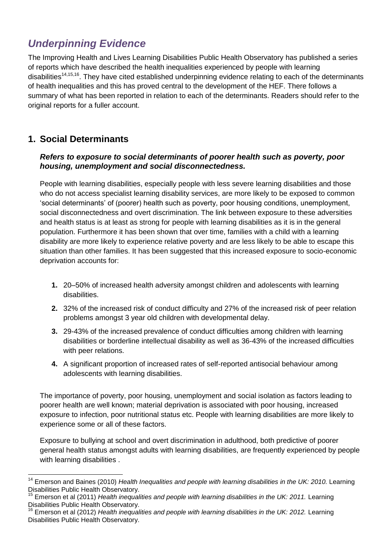## *Underpinning Evidence*

The Improving Health and Lives Learning Disabilities Public Health Observatory has published a series of reports which have described the health inequalities experienced by people with learning disabilities<sup>14,15,16</sup>. They have cited established underpinning evidence relating to each of the determinants of health inequalities and this has proved central to the development of the HEF. There follows a summary of what has been reported in relation to each of the determinants. Readers should refer to the original reports for a fuller account.

### **1. Social Determinants**

### *Refers to exposure to social determinants of poorer health such as poverty, poor housing, unemployment and social disconnectedness.*

People with learning disabilities, especially people with less severe learning disabilities and those who do not access specialist learning disability services, are more likely to be exposed to common 'social determinants' of (poorer) health such as poverty, poor housing conditions, unemployment, social disconnectedness and overt discrimination. The link between exposure to these adversities and health status is at least as strong for people with learning disabilities as it is in the general population. Furthermore it has been shown that over time, families with a child with a learning disability are more likely to experience relative poverty and are less likely to be able to escape this situation than other families. It has been suggested that this increased exposure to socio-economic deprivation accounts for:

- **1.** 20–50% of increased health adversity amongst children and adolescents with learning disabilities.
- **2.** 32% of the increased risk of conduct difficulty and 27% of the increased risk of peer relation problems amongst 3 year old children with developmental delay.
- **3.** 29-43% of the increased prevalence of conduct difficulties among children with learning disabilities or borderline intellectual disability as well as 36-43% of the increased difficulties with peer relations.
- **4.** A significant proportion of increased rates of self-reported antisocial behaviour among adolescents with learning disabilities.

The importance of poverty, poor housing, unemployment and social isolation as factors leading to poorer health are well known; material deprivation is associated with poor housing, increased exposure to infection, poor nutritional status etc. People with learning disabilities are more likely to experience some or all of these factors.

Exposure to bullying at school and overt discrimination in adulthood, both predictive of poorer general health status amongst adults with learning disabilities, are frequently experienced by people with learning disabilities .

 $14$ <sup>14</sup> Emerson and Baines (2010) *Health Inequalities and people with learning disabilities in the UK: 2010.* Learning Disabilities Public Health Observatory.

<sup>15</sup> Emerson et al (2011) *Health inequalities and people with learning disabilities in the UK: 2011.* Learning Disabilities Public Health Observatory.

Emerson et al (2012) *Health inequalities and people with learning disabilities in the UK: 2012.* Learning Disabilities Public Health Observatory.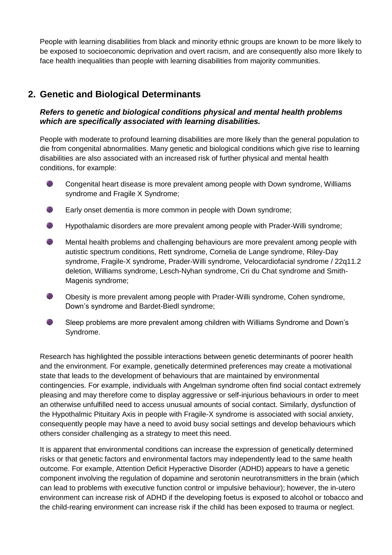People with learning disabilities from black and minority ethnic groups are known to be more likely to be exposed to socioeconomic deprivation and overt racism, and are consequently also more likely to face health inequalities than people with learning disabilities from majority communities.

### **2. Genetic and Biological Determinants**

### *Refers to genetic and biological conditions physical and mental health problems which are specifically associated with learning disabilities.*

People with moderate to profound learning disabilities are more likely than the general population to die from congenital abnormalities. Many genetic and biological conditions which give rise to learning disabilities are also associated with an increased risk of further physical and mental health conditions, for example:

- ŵ. Congenital heart disease is more prevalent among people with Down syndrome, Williams syndrome and Fragile X Syndrome;
- **SC** Early onset dementia is more common in people with Down syndrome;
- Hypothalamic disorders are more prevalent among people with Prader-Willi syndrome;
- Mental health problems and challenging behaviours are more prevalent among people with **SO** autistic spectrum conditions, Rett syndrome, Cornelia de Lange syndrome, Riley-Day syndrome, Fragile-X syndrome, Prader-Willi syndrome, Velocardiofacial syndrome / 22q11.2 deletion, Williams syndrome, Lesch-Nyhan syndrome, Cri du Chat syndrome and Smith-Magenis syndrome;
- -50 Obesity is more prevalent among people with Prader-Willi syndrome, Cohen syndrome, Down's syndrome and Bardet-Biedl syndrome;
- Sleep problems are more prevalent among children with Williams Syndrome and Down's Syndrome.

Research has highlighted the possible interactions between genetic determinants of poorer health and the environment. For example, genetically determined preferences may create a motivational state that leads to the development of behaviours that are maintained by environmental contingencies. For example, individuals with Angelman syndrome often find social contact extremely pleasing and may therefore come to display aggressive or self-injurious behaviours in order to meet an otherwise unfulfilled need to access unusual amounts of social contact. Similarly, dysfunction of the Hypothalmic Pituitary Axis in people with Fragile-X syndrome is associated with social anxiety, consequently people may have a need to avoid busy social settings and develop behaviours which others consider challenging as a strategy to meet this need.

It is apparent that environmental conditions can increase the expression of genetically determined risks or that genetic factors and environmental factors may independently lead to the same health outcome. For example, Attention Deficit Hyperactive Disorder (ADHD) appears to have a genetic component involving the regulation of dopamine and serotonin neurotransmitters in the brain (which can lead to problems with executive function control or impulsive behaviour); however, the in-utero environment can increase risk of ADHD if the developing foetus is exposed to alcohol or tobacco and the child-rearing environment can increase risk if the child has been exposed to trauma or neglect.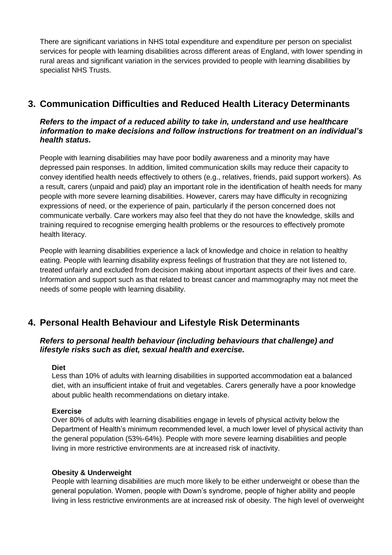There are significant variations in NHS total expenditure and expenditure per person on specialist services for people with learning disabilities across different areas of England, with lower spending in rural areas and significant variation in the services provided to people with learning disabilities by specialist NHS Trusts.

### **3. Communication Difficulties and Reduced Health Literacy Determinants**

### *Refers to the impact of a reduced ability to take in, understand and use healthcare information to make decisions and follow instructions for treatment on an individual's health status.*

People with learning disabilities may have poor bodily awareness and a minority may have depressed pain responses. In addition, limited communication skills may reduce their capacity to convey identified health needs effectively to others (e.g., relatives, friends, paid support workers). As a result, carers (unpaid and paid) play an important role in the identification of health needs for many people with more severe learning disabilities. However, carers may have difficulty in recognizing expressions of need, or the experience of pain, particularly if the person concerned does not communicate verbally. Care workers may also feel that they do not have the knowledge, skills and training required to recognise emerging health problems or the resources to effectively promote health literacy.

People with learning disabilities experience a lack of knowledge and choice in relation to healthy eating. People with learning disability express feelings of frustration that they are not listened to, treated unfairly and excluded from decision making about important aspects of their lives and care. Information and support such as that related to breast cancer and mammography may not meet the needs of some people with learning disability.

### **4. Personal Health Behaviour and Lifestyle Risk Determinants**

### *Refers to personal health behaviour (including behaviours that challenge) and lifestyle risks such as diet, sexual health and exercise.*

### **Diet**

Less than 10% of adults with learning disabilities in supported accommodation eat a balanced diet, with an insufficient intake of fruit and vegetables. Carers generally have a poor knowledge about public health recommendations on dietary intake.

### **Exercise**

Over 80% of adults with learning disabilities engage in levels of physical activity below the Department of Health's minimum recommended level, a much lower level of physical activity than the general population (53%-64%). People with more severe learning disabilities and people living in more restrictive environments are at increased risk of inactivity.

### **Obesity & Underweight**

People with learning disabilities are much more likely to be either underweight or obese than the general population. Women, people with Down's syndrome, people of higher ability and people living in less restrictive environments are at increased risk of obesity. The high level of overweight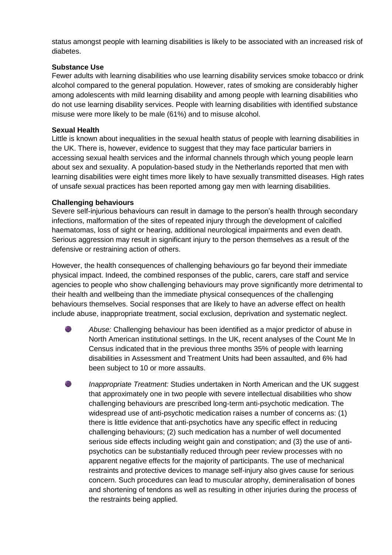status amongst people with learning disabilities is likely to be associated with an increased risk of diabetes.

#### **Substance Use**

Fewer adults with learning disabilities who use learning disability services smoke tobacco or drink alcohol compared to the general population. However, rates of smoking are considerably higher among adolescents with mild learning disability and among people with learning disabilities who do not use learning disability services. People with learning disabilities with identified substance misuse were more likely to be male (61%) and to misuse alcohol.

#### **Sexual Health**

Little is known about inequalities in the sexual health status of people with learning disabilities in the UK. There is, however, evidence to suggest that they may face particular barriers in accessing sexual health services and the informal channels through which young people learn about sex and sexuality. A population-based study in the Netherlands reported that men with learning disabilities were eight times more likely to have sexually transmitted diseases. High rates of unsafe sexual practices has been reported among gay men with learning disabilities.

#### **Challenging behaviours**

Severe self-injurious behaviours can result in damage to the person's health through secondary infections, malformation of the sites of repeated injury through the development of calcified haematomas, loss of sight or hearing, additional neurological impairments and even death. Serious aggression may result in significant injury to the person themselves as a result of the defensive or restraining action of others.

However, the health consequences of challenging behaviours go far beyond their immediate physical impact. Indeed, the combined responses of the public, carers, care staff and service agencies to people who show challenging behaviours may prove significantly more detrimental to their health and wellbeing than the immediate physical consequences of the challenging behaviours themselves. Social responses that are likely to have an adverse effect on health include abuse, inappropriate treatment, social exclusion, deprivation and systematic neglect.

- *Abuse:* Challenging behaviour has been identified as a major predictor of abuse in North American institutional settings. In the UK, recent analyses of the Count Me In Census indicated that in the previous three months 35% of people with learning disabilities in Assessment and Treatment Units had been assaulted, and 6% had been subject to 10 or more assaults.
- ۰ *Inappropriate Treatment:* Studies undertaken in North American and the UK suggest that approximately one in two people with severe intellectual disabilities who show challenging behaviours are prescribed long-term anti-psychotic medication. The widespread use of anti-psychotic medication raises a number of concerns as: (1) there is little evidence that anti-psychotics have any specific effect in reducing challenging behaviours; (2) such medication has a number of well documented serious side effects including weight gain and constipation; and (3) the use of antipsychotics can be substantially reduced through peer review processes with no apparent negative effects for the majority of participants. The use of mechanical restraints and protective devices to manage self-injury also gives cause for serious concern. Such procedures can lead to muscular atrophy, demineralisation of bones and shortening of tendons as well as resulting in other injuries during the process of the restraints being applied.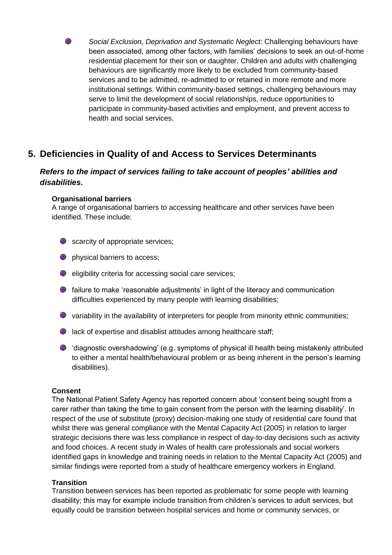*Social Exclusion, Deprivation and Systematic Neglect:* Challenging behaviours have been associated, among other factors, with families' decisions to seek an out-of-home residential placement for their son or daughter. Children and adults with challenging behaviours are significantly more likely to be excluded from community-based services and to be admitted, re-admitted to or retained in more remote and more institutional settings. Within community-based settings, challenging behaviours may serve to limit the development of social relationships, reduce opportunities to participate in community-based activities and employment, and prevent access to health and social services.

### **5. Deficiencies in Quality of and Access to Services Determinants**

### *Refers to the impact of services failing to take account of peoples' abilities and disabilities.*

#### **Organisational barriers**

A range of organisational barriers to accessing healthcare and other services have been identified. These include:

- scarcity of appropriate services;
- **physical barriers to access;**
- $\bullet$  eligibility criteria for accessing social care services;
- $\bullet$  failure to make 'reasonable adjustments' in light of the literacy and communication difficulties experienced by many people with learning disabilities;
- variability in the availability of interpreters for people from minority ethnic communities;
- **lack of expertise and disablist attitudes among healthcare staff;**
- 'diagnostic overshadowing' (e.g. symptoms of physical ill health being mistakenly attributed to either a mental health/behavioural problem or as being inherent in the person's learning disabilities).

#### **Consent**

The National Patient Safety Agency has reported concern about 'consent being sought from a carer rather than taking the time to gain consent from the person with the learning disability'. In respect of the use of substitute (proxy) decision-making one study of residential care found that whilst there was general compliance with the Mental Capacity Act (2005) in relation to larger strategic decisions there was less compliance in respect of day-to-day decisions such as activity and food choices. A recent study in Wales of health care professionals and social workers identified gaps in knowledge and training needs in relation to the Mental Capacity Act (2005) and similar findings were reported from a study of healthcare emergency workers in England.

#### **Transition**

Transition between services has been reported as problematic for some people with learning disability; this may for example include transition from children's services to adult services, but equally could be transition between hospital services and home or community services, or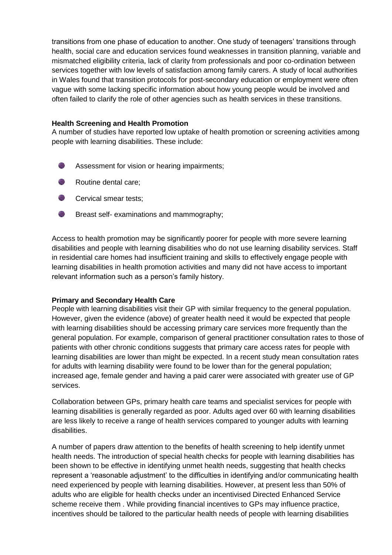transitions from one phase of education to another. One study of teenagers' transitions through health, social care and education services found weaknesses in transition planning, variable and mismatched eligibility criteria, lack of clarity from professionals and poor co-ordination between services together with low levels of satisfaction among family carers. A study of local authorities in Wales found that transition protocols for post-secondary education or employment were often vague with some lacking specific information about how young people would be involved and often failed to clarify the role of other agencies such as health services in these transitions.

#### **Health Screening and Health Promotion**

A number of studies have reported low uptake of health promotion or screening activities among people with learning disabilities. These include:

- Assessment for vision or hearing impairments;
- **Section** Routine dental care;
- 32 Cervical smear tests;
- a di San Breast self- examinations and mammography;

Access to health promotion may be significantly poorer for people with more severe learning disabilities and people with learning disabilities who do not use learning disability services. Staff in residential care homes had insufficient training and skills to effectively engage people with learning disabilities in health promotion activities and many did not have access to important relevant information such as a person's family history.

#### **Primary and Secondary Health Care**

People with learning disabilities visit their GP with similar frequency to the general population. However, given the evidence (above) of greater health need it would be expected that people with learning disabilities should be accessing primary care services more frequently than the general population. For example, comparison of general practitioner consultation rates to those of patients with other chronic conditions suggests that primary care access rates for people with learning disabilities are lower than might be expected. In a recent study mean consultation rates for adults with learning disability were found to be lower than for the general population; increased age, female gender and having a paid carer were associated with greater use of GP services.

Collaboration between GPs, primary health care teams and specialist services for people with learning disabilities is generally regarded as poor. Adults aged over 60 with learning disabilities are less likely to receive a range of health services compared to younger adults with learning disabilities.

A number of papers draw attention to the benefits of health screening to help identify unmet health needs. The introduction of special health checks for people with learning disabilities has been shown to be effective in identifying unmet health needs, suggesting that health checks represent a 'reasonable adjustment' to the difficulties in identifying and/or communicating health need experienced by people with learning disabilities. However, at present less than 50% of adults who are eligible for health checks under an incentivised Directed Enhanced Service scheme receive them . While providing financial incentives to GPs may influence practice, incentives should be tailored to the particular health needs of people with learning disabilities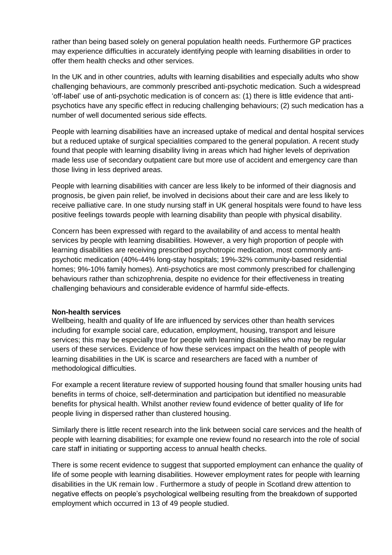rather than being based solely on general population health needs. Furthermore GP practices may experience difficulties in accurately identifying people with learning disabilities in order to offer them health checks and other services.

In the UK and in other countries, adults with learning disabilities and especially adults who show challenging behaviours, are commonly prescribed anti-psychotic medication. Such a widespread 'off-label' use of anti-psychotic medication is of concern as: (1) there is little evidence that antipsychotics have any specific effect in reducing challenging behaviours; (2) such medication has a number of well documented serious side effects.

People with learning disabilities have an increased uptake of medical and dental hospital services but a reduced uptake of surgical specialities compared to the general population. A recent study found that people with learning disability living in areas which had higher levels of deprivation made less use of secondary outpatient care but more use of accident and emergency care than those living in less deprived areas.

People with learning disabilities with cancer are less likely to be informed of their diagnosis and prognosis, be given pain relief, be involved in decisions about their care and are less likely to receive palliative care. In one study nursing staff in UK general hospitals were found to have less positive feelings towards people with learning disability than people with physical disability.

Concern has been expressed with regard to the availability of and access to mental health services by people with learning disabilities. However, a very high proportion of people with learning disabilities are receiving prescribed psychotropic medication, most commonly antipsychotic medication (40%-44% long-stay hospitals; 19%-32% community-based residential homes; 9%-10% family homes). Anti-psychotics are most commonly prescribed for challenging behaviours rather than schizophrenia, despite no evidence for their effectiveness in treating challenging behaviours and considerable evidence of harmful side-effects.

#### **Non-health services**

Wellbeing, health and quality of life are influenced by services other than health services including for example social care, education, employment, housing, transport and leisure services; this may be especially true for people with learning disabilities who may be regular users of these services. Evidence of how these services impact on the health of people with learning disabilities in the UK is scarce and researchers are faced with a number of methodological difficulties.

For example a recent literature review of supported housing found that smaller housing units had benefits in terms of choice, self-determination and participation but identified no measurable benefits for physical health. Whilst another review found evidence of better quality of life for people living in dispersed rather than clustered housing.

Similarly there is little recent research into the link between social care services and the health of people with learning disabilities; for example one review found no research into the role of social care staff in initiating or supporting access to annual health checks.

There is some recent evidence to suggest that supported employment can enhance the quality of life of some people with learning disabilities. However employment rates for people with learning disabilities in the UK remain low . Furthermore a study of people in Scotland drew attention to negative effects on people's psychological wellbeing resulting from the breakdown of supported employment which occurred in 13 of 49 people studied.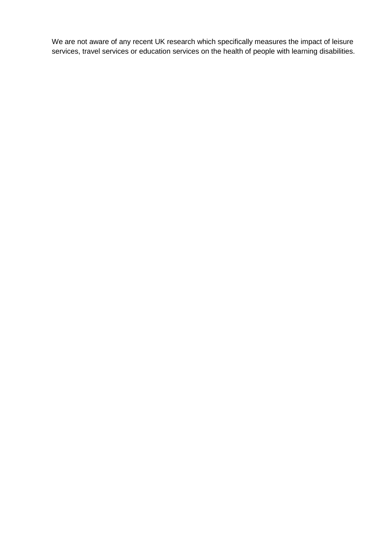We are not aware of any recent UK research which specifically measures the impact of leisure services, travel services or education services on the health of people with learning disabilities.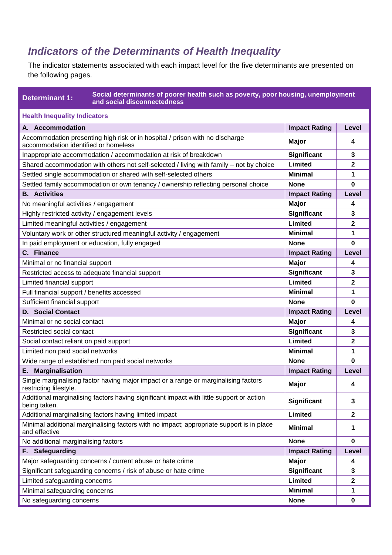## *Indicators of the Determinants of Health Inequality*

The indicator statements associated with each impact level for the five determinants are presented on the following pages.

| Social determinants of poorer health such as poverty, poor housing, unemployment<br><b>Determinant 1:</b><br>and social disconnectedness |                      |              |
|------------------------------------------------------------------------------------------------------------------------------------------|----------------------|--------------|
| <b>Health Inequality Indicators</b>                                                                                                      |                      |              |
| A. Accommodation                                                                                                                         | <b>Impact Rating</b> | Level        |
| Accommodation presenting high risk or in hospital / prison with no discharge<br>accommodation identified or homeless                     | <b>Major</b>         | 4            |
| Inappropriate accommodation / accommodation at risk of breakdown                                                                         | Significant          | 3            |
| Shared accommodation with others not self-selected / living with family - not by choice                                                  | <b>Limited</b>       | $\mathbf{2}$ |
| Settled single accommodation or shared with self-selected others                                                                         | <b>Minimal</b>       | 1            |
| Settled family accommodation or own tenancy / ownership reflecting personal choice                                                       | <b>None</b>          | $\mathbf 0$  |
| <b>B.</b> Activities                                                                                                                     | <b>Impact Rating</b> | Level        |
| No meaningful activities / engagement                                                                                                    | <b>Major</b>         | 4            |
| Highly restricted activity / engagement levels                                                                                           | Significant          | 3            |
| Limited meaningful activities / engagement                                                                                               | Limited              | $\mathbf{2}$ |
| Voluntary work or other structured meaningful activity / engagement                                                                      | <b>Minimal</b>       | 1            |
| In paid employment or education, fully engaged                                                                                           | <b>None</b>          | $\mathbf 0$  |
| C. Finance                                                                                                                               | <b>Impact Rating</b> | Level        |
| Minimal or no financial support                                                                                                          | <b>Major</b>         | 4            |
| Restricted access to adequate financial support                                                                                          | Significant          | 3            |
| Limited financial support                                                                                                                | <b>Limited</b>       | $\mathbf 2$  |
| Full financial support / benefits accessed                                                                                               | <b>Minimal</b>       | 1            |
| Sufficient financial support                                                                                                             | <b>None</b>          | $\mathbf{0}$ |
| <b>D.</b> Social Contact                                                                                                                 | <b>Impact Rating</b> | Level        |
| Minimal or no social contact                                                                                                             | <b>Major</b>         | 4            |
| Restricted social contact                                                                                                                | Significant          | 3            |
| Limited<br>Social contact reliant on paid support                                                                                        |                      | 2            |
| <b>Minimal</b><br>Limited non paid social networks                                                                                       |                      | 1            |
| Wide range of established non paid social networks                                                                                       | <b>None</b>          | 0            |
| E. Marginalisation                                                                                                                       | <b>Impact Rating</b> | Level        |
| Single marginalising factor having major impact or a range or marginalising factors<br>restricting lifestyle.                            | <b>Major</b>         | 4            |
| Additional marginalising factors having significant impact with little support or action<br>being taken.                                 | Significant          | 3            |
| Additional marginalising factors having limited impact                                                                                   | <b>Limited</b>       | $\mathbf 2$  |
| Minimal additional marginalising factors with no impact; appropriate support is in place<br>and effective                                | <b>Minimal</b>       | 1            |
| No additional marginalising factors                                                                                                      | <b>None</b>          | $\mathbf 0$  |
| Safeguarding<br>F.,                                                                                                                      | <b>Impact Rating</b> | Level        |
| Major safeguarding concerns / current abuse or hate crime<br><b>Major</b>                                                                |                      | 4            |
| Significant safeguarding concerns / risk of abuse or hate crime<br>Significant                                                           |                      | 3            |
| <b>Limited</b><br>Limited safeguarding concerns                                                                                          |                      |              |
| <b>Minimal</b><br>Minimal safeguarding concerns                                                                                          |                      |              |
| No safeguarding concerns                                                                                                                 | <b>None</b>          | $\pmb{0}$    |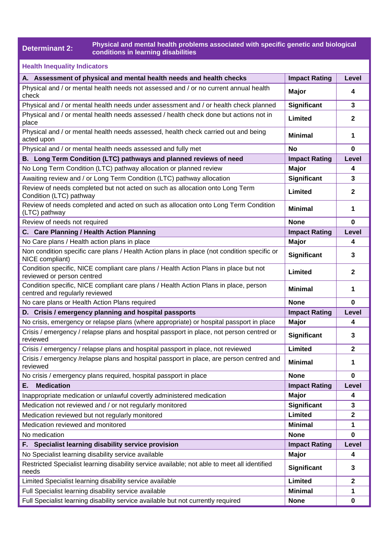**Determinant 2: Physical and mental health problems associated with specific genetic and biological conditions in learning disabilities**

### **Health Inequality Indicators**

| A. Assessment of physical and mental health needs and health checks                                                    | <b>Impact Rating</b> | Level        |
|------------------------------------------------------------------------------------------------------------------------|----------------------|--------------|
| Physical and / or mental health needs not assessed and / or no current annual health<br>check                          | Major                | 4            |
| Physical and / or mental health needs under assessment and / or health check planned                                   | Significant          | 3            |
| Physical and / or mental health needs assessed / health check done but actions not in<br>place                         | Limited              | $\mathbf{2}$ |
| Physical and / or mental health needs assessed, health check carried out and being<br>acted upon                       | <b>Minimal</b>       | 1            |
| Physical and / or mental health needs assessed and fully met                                                           | <b>No</b>            | $\mathbf 0$  |
| B. Long Term Condition (LTC) pathways and planned reviews of need                                                      | <b>Impact Rating</b> | Level        |
| No Long Term Condition (LTC) pathway allocation or planned review                                                      | Major                | 4            |
| Awaiting review and / or Long Term Condition (LTC) pathway allocation                                                  | Significant          | 3            |
| Review of needs completed but not acted on such as allocation onto Long Term<br>Condition (LTC) pathway                | Limited              | $\mathbf 2$  |
| Review of needs completed and acted on such as allocation onto Long Term Condition<br>(LTC) pathway                    | <b>Minimal</b>       | 1            |
| Review of needs not required                                                                                           | <b>None</b>          | $\mathbf 0$  |
| C. Care Planning / Health Action Planning                                                                              | <b>Impact Rating</b> | Level        |
| No Care plans / Health action plans in place                                                                           | Major                | 4            |
| Non condition specific care plans / Health Action plans in place (not condition specific or<br>NICE compliant)         | Significant          | 3            |
| Condition specific, NICE compliant care plans / Health Action Plans in place but not<br>reviewed or person centred     | Limited              | $\mathbf{2}$ |
| Condition specific, NICE compliant care plans / Health Action Plans in place, person<br>centred and regularly reviewed | <b>Minimal</b>       | 1            |
| No care plans or Health Action Plans required                                                                          | <b>None</b>          | $\mathbf 0$  |
| D. Crisis / emergency planning and hospital passports                                                                  | <b>Impact Rating</b> | Level        |
| No crisis, emergency or relapse plans (where appropriate) or hospital passport in place                                | Major                | 4            |
| Crisis / emergency / relapse plans and hospital passport in place, not person centred or<br>reviewed                   | <b>Significant</b>   | 3            |
| Crisis / emergency / relapse plans and hospital passport in place, not reviewed                                        | Limited              | $\mathbf{2}$ |
| Crisis / emergency /relapse plans and hospital passport in place, are person centred and<br>reviewed                   | <b>Minimal</b>       | 1            |
| No crisis / emergency plans required, hospital passport in place                                                       | <b>None</b>          | $\mathbf 0$  |
| <b>Medication</b><br>Е.                                                                                                | <b>Impact Rating</b> | Level        |
| Inappropriate medication or unlawful covertly administered medication                                                  | Major                | 4            |
| Medication not reviewed and / or not regularly monitored                                                               | Significant          | 3            |
| Medication reviewed but not regularly monitored                                                                        | <b>Limited</b>       | $\mathbf 2$  |
| Medication reviewed and monitored                                                                                      | <b>Minimal</b>       | 1            |
| No medication                                                                                                          | <b>None</b>          | $\mathbf 0$  |
| F. Specialist learning disability service provision                                                                    | <b>Impact Rating</b> | Level        |
| No Specialist learning disability service available                                                                    | <b>Major</b>         | 4            |
| Restricted Specialist learning disability service available; not able to meet all identified<br>needs                  | Significant          | 3            |
| Limited Specialist learning disability service available                                                               | Limited              | $\mathbf{2}$ |
| Full Specialist learning disability service available                                                                  | <b>Minimal</b>       | 1            |
| Full Specialist learning disability service available but not currently required                                       | <b>None</b>          | $\pmb{0}$    |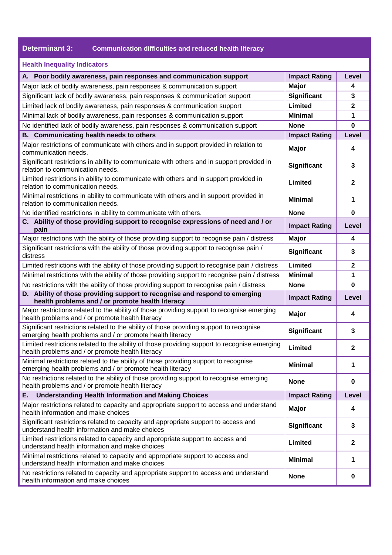### **Determinant 3: Communication difficulties and reduced health literacy**

|  | <b>Health Inequality Indicators</b> |  |  |
|--|-------------------------------------|--|--|
|--|-------------------------------------|--|--|

| A. Poor bodily awareness, pain responses and communication support                                                                                   | <b>Impact Rating</b> | Level          |
|------------------------------------------------------------------------------------------------------------------------------------------------------|----------------------|----------------|
| Major lack of bodily awareness, pain responses & communication support                                                                               | <b>Major</b>         | 4              |
| Significant lack of bodily awareness, pain responses & communication support                                                                         | <b>Significant</b>   | 3              |
| Limited lack of bodily awareness, pain responses & communication support                                                                             | Limited              | $\overline{2}$ |
| Minimal lack of bodily awareness, pain responses & communication support                                                                             | <b>Minimal</b>       | 1              |
| No identified lack of bodily awareness, pain responses & communication support                                                                       | <b>None</b>          | 0              |
| B. Communicating health needs to others                                                                                                              | <b>Impact Rating</b> | Level          |
| Major restrictions of communicate with others and in support provided in relation to<br>communication needs.                                         | <b>Major</b>         | 4              |
| Significant restrictions in ability to communicate with others and in support provided in<br>relation to communication needs.                        | Significant          | 3              |
| Limited restrictions in ability to communicate with others and in support provided in<br>relation to communication needs.                            | Limited              | $\mathbf{2}$   |
| Minimal restrictions in ability to communicate with others and in support provided in<br>relation to communication needs.                            | <b>Minimal</b>       | 1              |
| No identified restrictions in ability to communicate with others.                                                                                    | <b>None</b>          | 0              |
| C. Ability of those providing support to recognise expressions of need and / or<br>pain                                                              | <b>Impact Rating</b> | Level          |
| Major restrictions with the ability of those providing support to recognise pain / distress                                                          | <b>Major</b>         | 4              |
| Significant restrictions with the ability of those providing support to recognise pain /<br>distress                                                 | Significant          | 3              |
| Limited restrictions with the ability of those providing support to recognise pain / distress                                                        | Limited              | $\mathbf 2$    |
| Minimal restrictions with the ability of those providing support to recognise pain / distress                                                        | <b>Minimal</b>       | 1              |
| No restrictions with the ability of those providing support to recognise pain / distress                                                             | <b>None</b>          | $\mathbf 0$    |
| D. Ability of those providing support to recognise and respond to emerging<br>health problems and / or promote health literacy                       | <b>Impact Rating</b> | Level          |
| Major restrictions related to the ability of those providing support to recognise emerging<br>health problems and / or promote health literacy       | <b>Major</b>         | 4              |
| Significant restrictions related to the ability of those providing support to recognise<br>emerging health problems and / or promote health literacy | <b>Significant</b>   | 3              |
| Limited restrictions related to the ability of those providing support to recognise emerging<br>health problems and / or promote health literacy     | Limited              | $\mathbf 2$    |
| Minimal restrictions related to the ability of those providing support to recognise<br>emerging health problems and / or promote health literacy     | <b>Minimal</b>       | 1              |
| No restrictions related to the ability of those providing support to recognise emerging<br>health problems and / or promote health literacy          | <b>None</b>          | $\mathbf 0$    |
| Е.<br><b>Understanding Health Information and Making Choices</b>                                                                                     | <b>Impact Rating</b> | Level          |
| Major restrictions related to capacity and appropriate support to access and understand<br>health information and make choices                       | <b>Major</b>         | 4              |
| Significant restrictions related to capacity and appropriate support to access and<br>understand health information and make choices                 | Significant          | 3              |
| Limited restrictions related to capacity and appropriate support to access and<br>understand health information and make choices                     | Limited              | $\mathbf{2}$   |
| Minimal restrictions related to capacity and appropriate support to access and<br>understand health information and make choices                     | <b>Minimal</b>       | 1              |
| No restrictions related to capacity and appropriate support to access and understand<br>health information and make choices                          | <b>None</b>          | $\pmb{0}$      |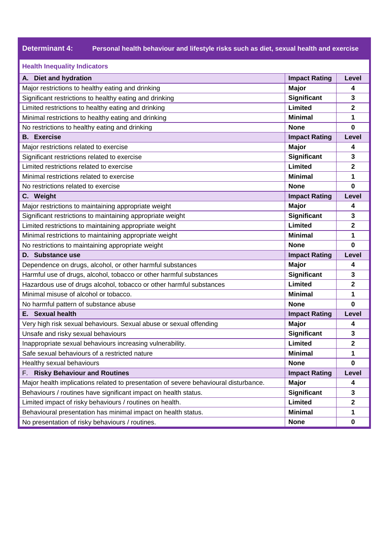**Determinant 4: Personal health behaviour and lifestyle risks such as diet, sexual health and exercise**

#### **Health Inequality Indicators**

| A. Diet and hydration                                                                | <b>Impact Rating</b> | Level        |
|--------------------------------------------------------------------------------------|----------------------|--------------|
| Major restrictions to healthy eating and drinking                                    | Major                | 4            |
| Significant restrictions to healthy eating and drinking                              | Significant          | 3            |
| Limited restrictions to healthy eating and drinking                                  | <b>Limited</b>       | $\mathbf{2}$ |
| Minimal restrictions to healthy eating and drinking                                  | <b>Minimal</b>       | 1            |
| No restrictions to healthy eating and drinking                                       | <b>None</b>          | $\mathbf 0$  |
| <b>B.</b> Exercise                                                                   | <b>Impact Rating</b> | <b>Level</b> |
| Major restrictions related to exercise                                               | <b>Major</b>         | 4            |
| Significant restrictions related to exercise                                         | <b>Significant</b>   | 3            |
| Limited restrictions related to exercise                                             | Limited              | $\mathbf 2$  |
| Minimal restrictions related to exercise                                             | <b>Minimal</b>       | 1            |
| No restrictions related to exercise                                                  | <b>None</b>          | $\mathbf 0$  |
| C. Weight                                                                            | <b>Impact Rating</b> | Level        |
| Major restrictions to maintaining appropriate weight                                 | <b>Major</b>         | 4            |
| Significant restrictions to maintaining appropriate weight                           | Significant          | 3            |
| Limited restrictions to maintaining appropriate weight                               | <b>Limited</b>       | $\mathbf 2$  |
| Minimal restrictions to maintaining appropriate weight                               | <b>Minimal</b>       | 1            |
| No restrictions to maintaining appropriate weight                                    | <b>None</b>          | $\mathbf 0$  |
| D. Substance use                                                                     | <b>Impact Rating</b> | Level        |
| Dependence on drugs, alcohol, or other harmful substances                            | <b>Major</b>         | 4            |
| Harmful use of drugs, alcohol, tobacco or other harmful substances                   | <b>Significant</b>   | 3            |
| Hazardous use of drugs alcohol, tobacco or other harmful substances                  | Limited              | $\mathbf 2$  |
| Minimal misuse of alcohol or tobacco.                                                | <b>Minimal</b>       | 1            |
| No harmful pattern of substance abuse                                                | <b>None</b>          | $\mathbf 0$  |
| E. Sexual health                                                                     | <b>Impact Rating</b> | Level        |
| Very high risk sexual behaviours. Sexual abuse or sexual offending                   | <b>Major</b>         | 4            |
| Unsafe and risky sexual behaviours                                                   | <b>Significant</b>   | 3            |
| Inappropriate sexual behaviours increasing vulnerability.                            | Limited              | $\mathbf 2$  |
| Safe sexual behaviours of a restricted nature                                        | <b>Minimal</b>       | 1            |
| Healthy sexual behaviours                                                            | <b>None</b>          | 0            |
| F. Risky Behaviour and Routines                                                      | <b>Impact Rating</b> | Level        |
| Major health implications related to presentation of severe behavioural disturbance. | <b>Major</b>         | 4            |
| Behaviours / routines have significant impact on health status.                      | Significant          | 3            |
| Limited impact of risky behaviours / routines on health.                             | <b>Limited</b>       | $\mathbf 2$  |
| Behavioural presentation has minimal impact on health status.                        | <b>Minimal</b>       | 1            |
| No presentation of risky behaviours / routines.                                      | <b>None</b>          | $\pmb{0}$    |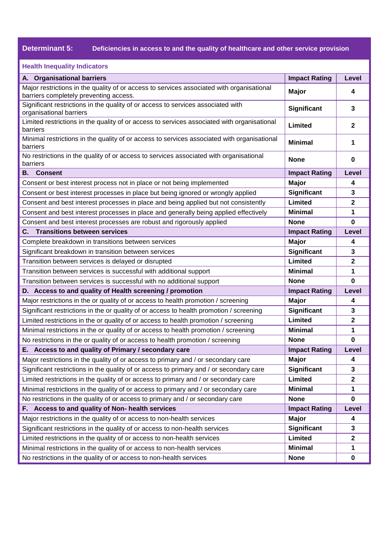### **Determinant 5: Deficiencies in access to and the quality of healthcare and other service provision**

| <b>Health Inequality Indicators</b>                                                                                                 |                      |                         |  |
|-------------------------------------------------------------------------------------------------------------------------------------|----------------------|-------------------------|--|
| A. Organisational barriers                                                                                                          | <b>Impact Rating</b> | Level                   |  |
| Major restrictions in the quality of or access to services associated with organisational<br>barriers completely preventing access. | <b>Major</b>         | 4                       |  |
| Significant restrictions in the quality of or access to services associated with<br>organisational barriers                         | Significant          | 3                       |  |
| Limited restrictions in the quality of or access to services associated with organisational<br>barriers                             | Limited              | $\mathbf{2}$            |  |
| Minimal restrictions in the quality of or access to services associated with organisational<br>barriers                             | <b>Minimal</b>       | 1                       |  |
| No restrictions in the quality of or access to services associated with organisational<br>barriers                                  | <b>None</b>          | 0                       |  |
| <b>B.</b> Consent                                                                                                                   | <b>Impact Rating</b> | Level                   |  |
| Consent or best interest process not in place or not being implemented                                                              | <b>Major</b>         | 4                       |  |
| Consent or best interest processes in place but being ignored or wrongly applied                                                    | <b>Significant</b>   | 3                       |  |
| Consent and best interest processes in place and being applied but not consistently                                                 | Limited              | $\overline{\mathbf{2}}$ |  |
| Consent and best interest processes in place and generally being applied effectively                                                | <b>Minimal</b>       | 1                       |  |
| Consent and best interest processes are robust and rigorously applied                                                               | <b>None</b>          | $\mathbf{0}$            |  |
| C. Transitions between services                                                                                                     | <b>Impact Rating</b> | Level                   |  |
| Complete breakdown in transitions between services                                                                                  | <b>Major</b>         | 4                       |  |
| Significant breakdown in transition between services                                                                                | Significant          | 3                       |  |
| Transition between services is delayed or disrupted                                                                                 | Limited              | $\overline{\mathbf{2}}$ |  |
| Transition between services is successful with additional support                                                                   | <b>Minimal</b>       | 1                       |  |
| Transition between services is successful with no additional support                                                                | <b>None</b>          | $\mathbf{0}$            |  |
| D. Access to and quality of Health screening / promotion                                                                            | <b>Impact Rating</b> | Level                   |  |
| Major restrictions in the or quality of or access to health promotion / screening                                                   | <b>Major</b>         | 4                       |  |
| Significant restrictions in the or quality of or access to health promotion / screening                                             | <b>Significant</b>   | 3                       |  |
| Limited restrictions in the or quality of or access to health promotion / screening                                                 | Limited              | $\overline{\mathbf{2}}$ |  |
| Minimal restrictions in the or quality of or access to health promotion / screening                                                 | <b>Minimal</b>       | 1                       |  |
| No restrictions in the or quality of or access to health promotion / screening                                                      | <b>None</b>          | $\mathbf{0}$            |  |
| E. Access to and quality of Primary / secondary care                                                                                | <b>Impact Rating</b> | Level                   |  |
| Major restrictions in the quality of or access to primary and / or secondary care                                                   | <b>Major</b>         | 4                       |  |
| Significant restrictions in the quality of or access to primary and / or secondary care                                             | <b>Significant</b>   | 3                       |  |
| Limited restrictions in the quality of or access to primary and / or secondary care                                                 | <b>Limited</b>       | $\overline{2}$          |  |
| Minimal restrictions in the quality of or access to primary and / or secondary care                                                 | <b>Minimal</b>       | 1                       |  |
| No restrictions in the quality of or access to primary and / or secondary care                                                      | <b>None</b>          | $\mathbf 0$             |  |
| F. Access to and quality of Non- health services                                                                                    | <b>Impact Rating</b> | Level                   |  |
| Major restrictions in the quality of or access to non-health services                                                               | <b>Major</b>         | 4                       |  |
| Significant restrictions in the quality of or access to non-health services                                                         | Significant          | 3                       |  |
| Limited restrictions in the quality of or access to non-health services                                                             | Limited              | $\overline{2}$          |  |
| Minimal restrictions in the quality of or access to non-health services                                                             | <b>Minimal</b>       | 1                       |  |
| No restrictions in the quality of or access to non-health services                                                                  | <b>None</b>          | 0                       |  |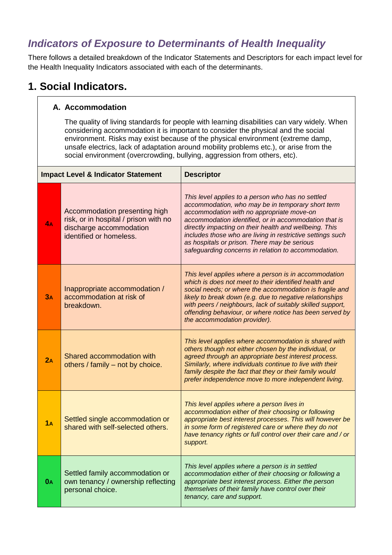### *Indicators of Exposure to Determinants of Health Inequality*

There follows a detailed breakdown of the Indicator Statements and Descriptors for each impact level for the Health Inequality Indicators associated with each of the determinants.

### **1. Social Indicators.**

### **A. Accommodation**

The quality of living standards for people with learning disabilities can vary widely. When considering accommodation it is important to consider the physical and the social environment. Risks may exist because of the physical environment (extreme damp, unsafe electrics, lack of adaptation around mobility problems etc.), or arise from the social environment (overcrowding, bullying, aggression from others, etc).

|           | <b>Impact Level &amp; Indicator Statement</b>                                                                                | <b>Descriptor</b>                                                                                                                                                                                                                                                                                                                                                                                                                           |
|-----------|------------------------------------------------------------------------------------------------------------------------------|---------------------------------------------------------------------------------------------------------------------------------------------------------------------------------------------------------------------------------------------------------------------------------------------------------------------------------------------------------------------------------------------------------------------------------------------|
| 4A        | Accommodation presenting high<br>risk, or in hospital / prison with no<br>discharge accommodation<br>identified or homeless. | This level applies to a person who has no settled<br>accommodation, who may be in temporary short term<br>accommodation with no appropriate move-on<br>accommodation identified, or in accommodation that is<br>directly impacting on their health and wellbeing. This<br>includes those who are living in restrictive settings such<br>as hospitals or prison. There may be serious<br>safeguarding concerns in relation to accommodation. |
| 3A        | Inappropriate accommodation /<br>accommodation at risk of<br>breakdown.                                                      | This level applies where a person is in accommodation<br>which is does not meet to their identified health and<br>social needs; or where the accommodation is fragile and<br>likely to break down (e.g. due to negative relationships<br>with peers / neighbours, lack of suitably skilled support,<br>offending behaviour, or where notice has been served by<br>the accommodation provider).                                              |
| 2A        | Shared accommodation with<br>others / family - not by choice.                                                                | This level applies where accommodation is shared with<br>others though not either chosen by the individual, or<br>agreed through an appropriate best interest process.<br>Similarly, where individuals continue to live with their<br>family despite the fact that they or their family would<br>prefer independence move to more independent living.                                                                                       |
| 1A        | Settled single accommodation or<br>shared with self-selected others.                                                         | This level applies where a person lives in<br>accommodation either of their choosing or following<br>appropriate best interest processes. This will however be<br>in some form of registered care or where they do not<br>have tenancy rights or full control over their care and / or<br>support.                                                                                                                                          |
| <b>OA</b> | Settled family accommodation or<br>own tenancy / ownership reflecting<br>personal choice.                                    | This level applies where a person is in settled<br>accommodation either of their choosing or following a<br>appropriate best interest process. Either the person<br>themselves of their family have control over their<br>tenancy, care and support.                                                                                                                                                                                        |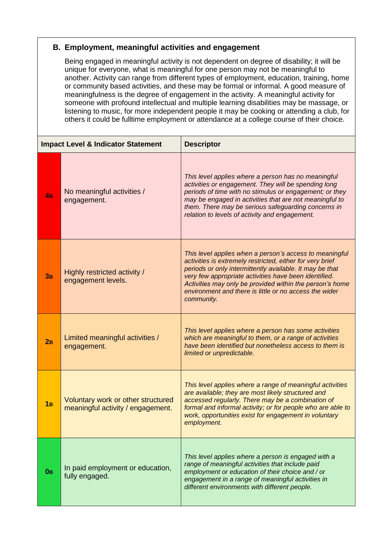#### **B. Employment, meaningful activities and engagement**

Being engaged in meaningful activity is not dependent on degree of disability; it will be unique for everyone, what is meaningful for one person may not be meaningful to another. Activity can range from different types of employment, education, training, home or community based activities, and these may be formal or informal. A good measure of meaningfulness is the degree of engagement in the activity. A meaningful activity for someone with profound intellectual and multiple learning disabilities may be massage, or listening to music, for more independent people it may be cooking or attending a club, for others it could be fulltime employment or attendance at a college course of their choice.

| <b>Impact Level &amp; Indicator Statement</b> |                                                                         | <b>Descriptor</b>                                                                                                                                                                                                                                                                                                                                                             |
|-----------------------------------------------|-------------------------------------------------------------------------|-------------------------------------------------------------------------------------------------------------------------------------------------------------------------------------------------------------------------------------------------------------------------------------------------------------------------------------------------------------------------------|
| 4B                                            | No meaningful activities /<br>engagement.                               | This level applies where a person has no meaningful<br>activities or engagement. They will be spending long<br>periods of time with no stimulus or engagement; or they<br>may be engaged in activities that are not meaningful to<br>them. There may be serious safeguarding concerns in<br>relation to levels of activity and engagement.                                    |
| 3B                                            | Highly restricted activity /<br>engagement levels.                      | This level applies when a person's access to meaningful<br>activities is extremely restricted, either for very brief<br>periods or only intermittently available. It may be that<br>very few appropriate activities have been identified.<br>Activities may only be provided within the person's home<br>environment and there is little or no access the wider<br>community. |
| 2B                                            | Limited meaningful activities /<br>engagement.                          | This level applies where a person has some activities<br>which are meaningful to them, or a range of activities<br>have been identified but nonetheless access to them is<br>limited or unpredictable.                                                                                                                                                                        |
| 1 <sub>B</sub>                                | Voluntary work or other structured<br>meaningful activity / engagement. | This level applies where a range of meaningful activities<br>are available; they are most likely structured and<br>accessed regularly. There may be a combination of<br>formal and informal activity; or for people who are able to<br>work, opportunities exist for engagement in voluntary<br>employment.                                                                   |
| 0в                                            | In paid employment or education,<br>fully engaged.                      | This level applies where a person is engaged with a<br>range of meaningful activities that include paid<br>employment or education of their choice and / or<br>engagement in a range of meaningful activities in<br>different environments with different people.                                                                                                             |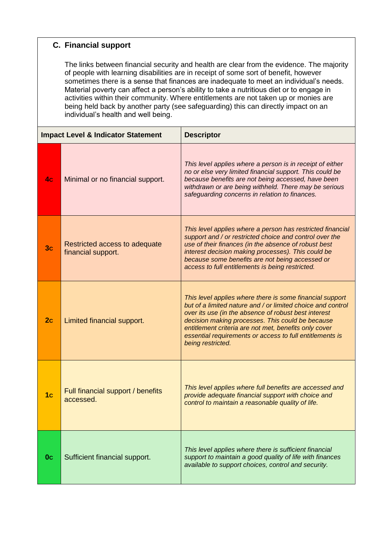### **C. Financial support**

The links between financial security and health are clear from the evidence. The majority of people with learning disabilities are in receipt of some sort of benefit, however sometimes there is a sense that finances are inadequate to meet an individual's needs. Material poverty can affect a person's ability to take a nutritious diet or to engage in activities within their community. Where entitlements are not taken up or monies are being held back by another party (see safeguarding) this can directly impact on an individual's health and well being.

| <b>Impact Level &amp; Indicator Statement</b> |                                                     | <b>Descriptor</b>                                                                                                                                                                                                                                                                                                                                                             |
|-----------------------------------------------|-----------------------------------------------------|-------------------------------------------------------------------------------------------------------------------------------------------------------------------------------------------------------------------------------------------------------------------------------------------------------------------------------------------------------------------------------|
| 4 <sub>c</sub>                                | Minimal or no financial support.                    | This level applies where a person is in receipt of either<br>no or else very limited financial support. This could be<br>because benefits are not being accessed, have been<br>withdrawn or are being withheld. There may be serious<br>safeguarding concerns in relation to finances.                                                                                        |
| 3 <sub>c</sub>                                | Restricted access to adequate<br>financial support. | This level applies where a person has restricted financial<br>support and / or restricted choice and control over the<br>use of their finances (in the absence of robust best<br>interest decision making processes). This could be<br>because some benefits are not being accessed or<br>access to full entitlements is being restricted.                                    |
| 2c                                            | Limited financial support.                          | This level applies where there is some financial support<br>but of a limited nature and / or limited choice and control<br>over its use (in the absence of robust best interest<br>decision making processes. This could be because<br>entitlement criteria are not met, benefits only cover<br>essential requirements or access to full entitlements is<br>being restricted. |
| 1 <sub>c</sub>                                | Full financial support / benefits<br>accessed.      | This level applies where full benefits are accessed and<br>provide adequate financial support with choice and<br>control to maintain a reasonable quality of life.                                                                                                                                                                                                            |
| 0 <sup>c</sup>                                | Sufficient financial support.                       | This level applies where there is sufficient financial<br>support to maintain a good quality of life with finances<br>available to support choices, control and security.                                                                                                                                                                                                     |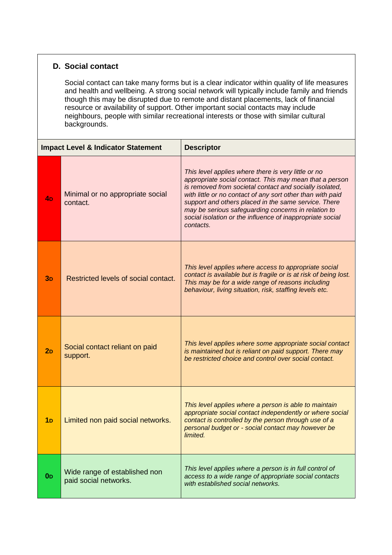### **D. Social contact**

Social contact can take many forms but is a clear indicator within quality of life measures and health and wellbeing. A strong social network will typically include family and friends though this may be disrupted due to remote and distant placements, lack of financial resource or availability of support. Other important social contacts may include neighbours, people with similar recreational interests or those with similar cultural backgrounds.

| <b>Impact Level &amp; Indicator Statement</b> |                                                        | <b>Descriptor</b>                                                                                                                                                                                                                                                                                                                                                                                                                |
|-----------------------------------------------|--------------------------------------------------------|----------------------------------------------------------------------------------------------------------------------------------------------------------------------------------------------------------------------------------------------------------------------------------------------------------------------------------------------------------------------------------------------------------------------------------|
| 4 <sub>D</sub>                                | Minimal or no appropriate social<br>contact.           | This level applies where there is very little or no<br>appropriate social contact. This may mean that a person<br>is removed from societal contact and socially isolated,<br>with little or no contact of any sort other than with paid<br>support and others placed in the same service. There<br>may be serious safeguarding concerns in relation to<br>social isolation or the influence of inappropriate social<br>contacts. |
| 3 <sub>D</sub>                                | Restricted levels of social contact.                   | This level applies where access to appropriate social<br>contact is available but is fragile or is at risk of being lost.<br>This may be for a wide range of reasons including<br>behaviour, living situation, risk, staffing levels etc.                                                                                                                                                                                        |
| 2 <sub>D</sub>                                | Social contact reliant on paid<br>support.             | This level applies where some appropriate social contact<br>is maintained but is reliant on paid support. There may<br>be restricted choice and control over social contact.                                                                                                                                                                                                                                                     |
| 1 <sub>D</sub>                                | Limited non paid social networks.                      | This level applies where a person is able to maintain<br>appropriate social contact independently or where social<br>contact is controlled by the person through use of a<br>personal budget or - social contact may however be<br>limited.                                                                                                                                                                                      |
| 0 <sub>D</sub>                                | Wide range of established non<br>paid social networks. | This level applies where a person is in full control of<br>access to a wide range of appropriate social contacts<br>with established social networks.                                                                                                                                                                                                                                                                            |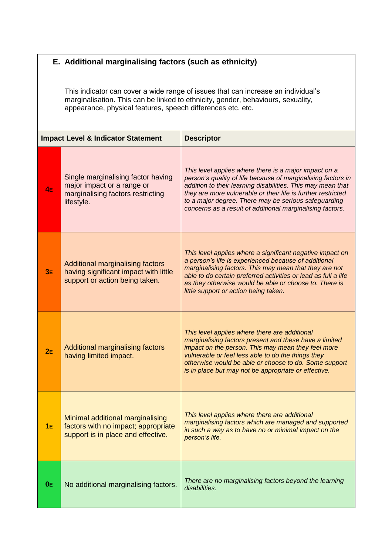|                | E. Additional marginalising factors (such as ethnicity)                                                                                                                                                                              |                                                                                                                                                                                                                                                                                                                                                                           |  |
|----------------|--------------------------------------------------------------------------------------------------------------------------------------------------------------------------------------------------------------------------------------|---------------------------------------------------------------------------------------------------------------------------------------------------------------------------------------------------------------------------------------------------------------------------------------------------------------------------------------------------------------------------|--|
|                | This indicator can cover a wide range of issues that can increase an individual's<br>marginalisation. This can be linked to ethnicity, gender, behaviours, sexuality,<br>appearance, physical features, speech differences etc. etc. |                                                                                                                                                                                                                                                                                                                                                                           |  |
|                | <b>Impact Level &amp; Indicator Statement</b>                                                                                                                                                                                        | <b>Descriptor</b>                                                                                                                                                                                                                                                                                                                                                         |  |
| 4E             | Single marginalising factor having<br>major impact or a range or<br>marginalising factors restricting<br>lifestyle.                                                                                                                  | This level applies where there is a major impact on a<br>person's quality of life because of marginalising factors in<br>addition to their learning disabilities. This may mean that<br>they are more vulnerable or their life is further restricted<br>to a major degree. There may be serious safeguarding<br>concerns as a result of additional marginalising factors. |  |
| 3E             | <b>Additional marginalising factors</b><br>having significant impact with little<br>support or action being taken.                                                                                                                   | This level applies where a significant negative impact on<br>a person's life is experienced because of additional<br>marginalising factors. This may mean that they are not<br>able to do certain preferred activities or lead as full a life<br>as they otherwise would be able or choose to. There is<br>little support or action being taken.                          |  |
| 2E             | <b>Additional marginalising factors</b><br>having limited impact.                                                                                                                                                                    | This level applies where there are additional<br>marginalising factors present and these have a limited<br>impact on the person. This may mean they feel more<br>vulnerable or feel less able to do the things they<br>otherwise would be able or choose to do. Some support<br>is in place but may not be appropriate or effective.                                      |  |
| 1E             | Minimal additional marginalising<br>factors with no impact; appropriate<br>support is in place and effective.                                                                                                                        | This level applies where there are additional<br>marginalising factors which are managed and supported<br>in such a way as to have no or minimal impact on the<br>person's life.                                                                                                                                                                                          |  |
| 0 <sub>E</sub> | No additional marginalising factors.                                                                                                                                                                                                 | There are no marginalising factors beyond the learning<br>disabilities.                                                                                                                                                                                                                                                                                                   |  |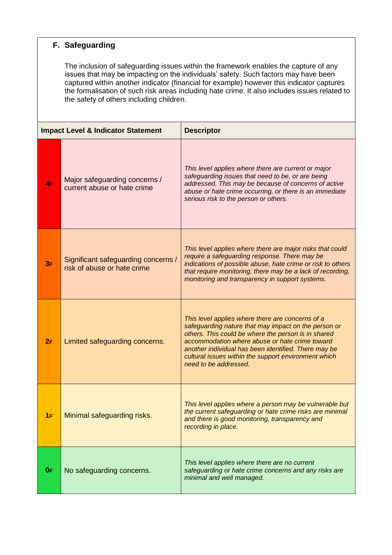### **F. Safeguarding**

The inclusion of safeguarding issues within the framework enables the capture of any issues that may be impacting on the individuals' safety. Such factors may have been captured within another indicator (financial for example) however this indicator captures the formalisation of such risk areas including hate crime. It also includes issues related to the safety of others including children.

|    | <b>Impact Level &amp; Indicator Statement</b>                      | <b>Descriptor</b>                                                                                                                                                                                                                                                                                                                                          |
|----|--------------------------------------------------------------------|------------------------------------------------------------------------------------------------------------------------------------------------------------------------------------------------------------------------------------------------------------------------------------------------------------------------------------------------------------|
| 4F | Major safeguarding concerns /<br>current abuse or hate crime       | This level applies where there are current or major<br>safeguarding issues that need to be, or are being<br>addressed. This may be because of concerns of active<br>abuse or hate crime occurring, or there is an immediate<br>serious risk to the person or others.                                                                                       |
| 3F | Significant safeguarding concerns /<br>risk of abuse or hate crime | This level applies where there are major risks that could<br>require a safeguarding response. There may be<br>indications of possible abuse, hate crime or risk to others<br>that require monitoring; there may be a lack of recording,<br>monitoring and transparency in support systems.                                                                 |
| 2F | Limited safeguarding concerns.                                     | This level applies where there are concerns of a<br>safeguarding nature that may impact on the person or<br>others. This could be where the person is in shared<br>accommodation where abuse or hate crime toward<br>another individual has been identified. There may be<br>cultural issues within the support environment which<br>need to be addressed. |
|    | Minimal safeguarding risks.                                        | This level applies where a person may be vulnerable but<br>the current safeguarding or hate crime risks are minimal<br>and there is good monitoring, transparency and<br>recording in place.                                                                                                                                                               |
| 0F | No safeguarding concerns.                                          | This level applies where there are no current<br>safeguarding or hate crime concerns and any risks are<br>minimal and well managed.                                                                                                                                                                                                                        |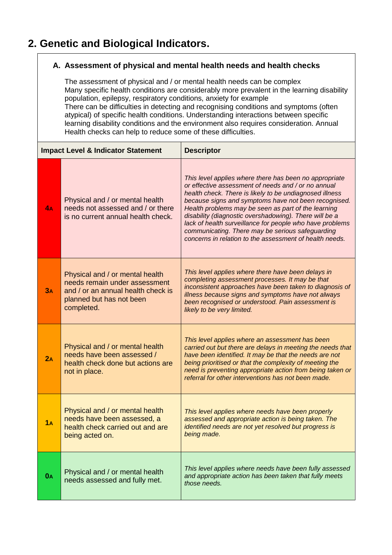### **2. Genetic and Biological Indicators.**

### **A. Assessment of physical and mental health needs and health checks**

The assessment of physical and / or mental health needs can be complex Many specific health conditions are considerably more prevalent in the learning disability population, epilepsy, respiratory conditions, anxiety for example There can be difficulties in detecting and recognising conditions and symptoms (often atypical) of specific health conditions. Understanding interactions between specific learning disability conditions and the environment also requires consideration. Annual Health checks can help to reduce some of these difficulties.

| <b>Impact Level &amp; Indicator Statement</b> |                                                                                                                                                  | <b>Descriptor</b>                                                                                                                                                                                                                                                                                                                                                                                                                                                                                                            |
|-----------------------------------------------|--------------------------------------------------------------------------------------------------------------------------------------------------|------------------------------------------------------------------------------------------------------------------------------------------------------------------------------------------------------------------------------------------------------------------------------------------------------------------------------------------------------------------------------------------------------------------------------------------------------------------------------------------------------------------------------|
| 4A                                            | Physical and / or mental health<br>needs not assessed and / or there<br>is no current annual health check.                                       | This level applies where there has been no appropriate<br>or effective assessment of needs and / or no annual<br>health check. There is likely to be undiagnosed illness<br>because signs and symptoms have not been recognised.<br>Health problems may be seen as part of the learning<br>disability (diagnostic overshadowing). There will be a<br>lack of health surveillance for people who have problems<br>communicating. There may be serious safeguarding<br>concerns in relation to the assessment of health needs. |
| 3A                                            | Physical and / or mental health<br>needs remain under assessment<br>and / or an annual health check is<br>planned but has not been<br>completed. | This level applies where there have been delays in<br>completing assessment processes. It may be that<br>inconsistent approaches have been taken to diagnosis of<br>illness because signs and symptoms have not always<br>been recognised or understood. Pain assessment is<br>likely to be very limited.                                                                                                                                                                                                                    |
| 2A                                            | Physical and / or mental health<br>needs have been assessed /<br>health check done but actions are<br>not in place.                              | This level applies where an assessment has been<br>carried out but there are delays in meeting the needs that<br>have been identified. It may be that the needs are not<br>being prioritised or that the complexity of meeting the<br>need is preventing appropriate action from being taken or<br>referral for other interventions has not been made.                                                                                                                                                                       |
| 1A                                            | Physical and / or mental health<br>needs have been assessed, a<br>health check carried out and are<br>being acted on.                            | This level applies where needs have been properly<br>assessed and appropriate action is being taken. The<br>identified needs are not yet resolved but progress is<br>being made.                                                                                                                                                                                                                                                                                                                                             |
| <b>OA</b>                                     | Physical and / or mental health<br>needs assessed and fully met.                                                                                 | This level applies where needs have been fully assessed<br>and appropriate action has been taken that fully meets<br>those needs.                                                                                                                                                                                                                                                                                                                                                                                            |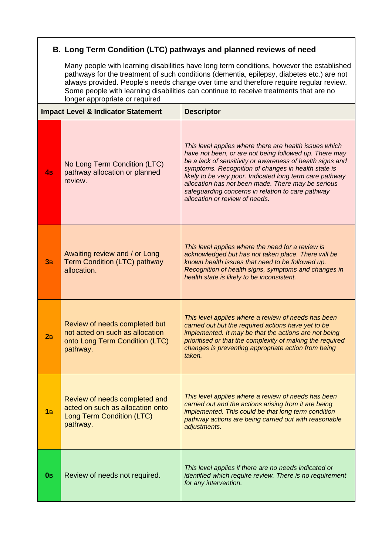| B. Long Term Condition (LTC) pathways and planned reviews of need |                                                                                                                                                                                                                                                                                                                                                                                                             |                                                                                                                                                                                                                                                                                                                                                                                                                                               |
|-------------------------------------------------------------------|-------------------------------------------------------------------------------------------------------------------------------------------------------------------------------------------------------------------------------------------------------------------------------------------------------------------------------------------------------------------------------------------------------------|-----------------------------------------------------------------------------------------------------------------------------------------------------------------------------------------------------------------------------------------------------------------------------------------------------------------------------------------------------------------------------------------------------------------------------------------------|
|                                                                   | Many people with learning disabilities have long term conditions, however the established<br>pathways for the treatment of such conditions (dementia, epilepsy, diabetes etc.) are not<br>always provided. People's needs change over time and therefore require regular review.<br>Some people with learning disabilities can continue to receive treatments that are no<br>longer appropriate or required |                                                                                                                                                                                                                                                                                                                                                                                                                                               |
|                                                                   | <b>Impact Level &amp; Indicator Statement</b>                                                                                                                                                                                                                                                                                                                                                               | <b>Descriptor</b>                                                                                                                                                                                                                                                                                                                                                                                                                             |
| 4в                                                                | No Long Term Condition (LTC)<br>pathway allocation or planned<br>review.                                                                                                                                                                                                                                                                                                                                    | This level applies where there are health issues which<br>have not been, or are not being followed up. There may<br>be a lack of sensitivity or awareness of health signs and<br>symptoms. Recognition of changes in health state is<br>likely to be very poor. Indicated long term care pathway<br>allocation has not been made. There may be serious<br>safeguarding concerns in relation to care pathway<br>allocation or review of needs. |
| 3B                                                                | Awaiting review and / or Long<br><b>Term Condition (LTC) pathway</b><br>allocation.                                                                                                                                                                                                                                                                                                                         | This level applies where the need for a review is<br>acknowledged but has not taken place. There will be<br>known health issues that need to be followed up.<br>Recognition of health signs, symptoms and changes in<br>health state is likely to be inconsistent.                                                                                                                                                                            |
| 2 <sub>B</sub>                                                    | Review of needs completed but<br>not acted on such as allocation<br>onto Long Term Condition (LTC)<br>pathway.                                                                                                                                                                                                                                                                                              | This level applies where a review of needs has been<br>carried out but the required actions have yet to be<br>implemented. It may be that the actions are not being<br>prioritised or that the complexity of making the required<br>changes is preventing appropriate action from being<br>taken.                                                                                                                                             |
| 1 <sub>B</sub>                                                    | Review of needs completed and<br>acted on such as allocation onto<br>Long Term Condition (LTC)<br>pathway.                                                                                                                                                                                                                                                                                                  | This level applies where a review of needs has been<br>carried out and the actions arising from it are being<br>implemented. This could be that long term condition<br>pathway actions are being carried out with reasonable<br>adjustments.                                                                                                                                                                                                  |
| 0в                                                                | Review of needs not required.                                                                                                                                                                                                                                                                                                                                                                               | This level applies if there are no needs indicated or<br>identified which require review. There is no requirement<br>for any intervention.                                                                                                                                                                                                                                                                                                    |

ヿ

 $\overline{\Gamma}$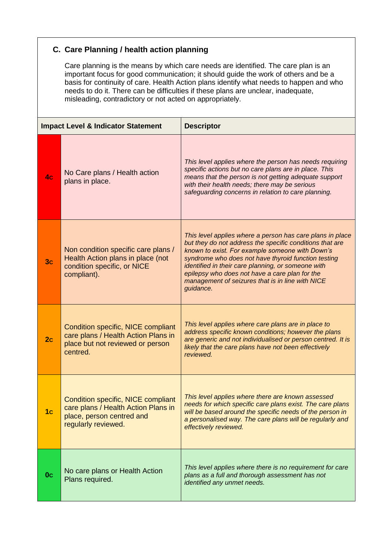### **C. Care Planning / health action planning**

Care planning is the means by which care needs are identified. The care plan is an important focus for good communication; it should guide the work of others and be a basis for continuity of care. Health Action plans identify what needs to happen and who needs to do it. There can be difficulties if these plans are unclear, inadequate, misleading, contradictory or not acted on appropriately.

|                | <b>Impact Level &amp; Indicator Statement</b>                                                                                        | <b>Descriptor</b>                                                                                                                                                                                                                                                                                                                                                                                        |
|----------------|--------------------------------------------------------------------------------------------------------------------------------------|----------------------------------------------------------------------------------------------------------------------------------------------------------------------------------------------------------------------------------------------------------------------------------------------------------------------------------------------------------------------------------------------------------|
| 4 <sub>c</sub> | No Care plans / Health action<br>plans in place.                                                                                     | This level applies where the person has needs requiring<br>specific actions but no care plans are in place. This<br>means that the person is not getting adequate support<br>with their health needs; there may be serious<br>safeguarding concerns in relation to care planning.                                                                                                                        |
| 3 <sub>c</sub> | Non condition specific care plans /<br>Health Action plans in place (not<br>condition specific, or NICE<br>compliant).               | This level applies where a person has care plans in place<br>but they do not address the specific conditions that are<br>known to exist. For example someone with Down's<br>syndrome who does not have thyroid function testing<br>identified in their care planning, or someone with<br>epilepsy who does not have a care plan for the<br>management of seizures that is in line with NICE<br>guidance. |
| 2c             | Condition specific, NICE compliant<br>care plans / Health Action Plans in<br>place but not reviewed or person<br>centred.            | This level applies where care plans are in place to<br>address specific known conditions; however the plans<br>are generic and not individualised or person centred. It is<br>likely that the care plans have not been effectively<br>reviewed.                                                                                                                                                          |
| יי             | <b>Condition specific, NICE compliant</b><br>care plans / Health Action Plans in<br>place, person centred and<br>regularly reviewed. | This level applies where there are known assessed<br>needs for which specific care plans exist. The care plans<br>will be based around the specific needs of the person in<br>a personalised way. The care plans will be regularly and<br>effectively reviewed.                                                                                                                                          |
| 0 <sub>c</sub> | No care plans or Health Action<br>Plans required.                                                                                    | This level applies where there is no requirement for care<br>plans as a full and thorough assessment has not<br>identified any unmet needs.                                                                                                                                                                                                                                                              |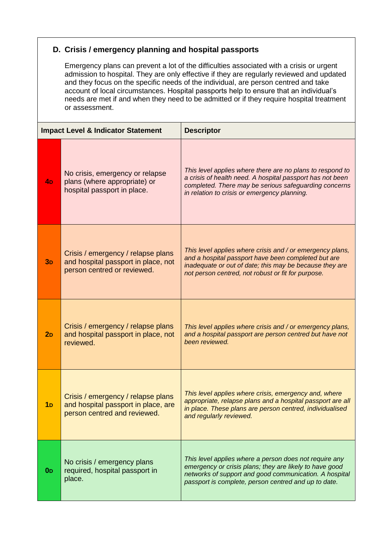### **D. Crisis / emergency planning and hospital passports**

Emergency plans can prevent a lot of the difficulties associated with a crisis or urgent admission to hospital. They are only effective if they are regularly reviewed and updated and they focus on the specific needs of the individual, are person centred and take account of local circumstances. Hospital passports help to ensure that an individual's needs are met if and when they need to be admitted or if they require hospital treatment or assessment.

|                | <b>Impact Level &amp; Indicator Statement</b>                                                             | <b>Descriptor</b>                                                                                                                                                                                                                   |
|----------------|-----------------------------------------------------------------------------------------------------------|-------------------------------------------------------------------------------------------------------------------------------------------------------------------------------------------------------------------------------------|
| 4 <sub>D</sub> | No crisis, emergency or relapse<br>plans (where appropriate) or<br>hospital passport in place.            | This level applies where there are no plans to respond to<br>a crisis of health need. A hospital passport has not been<br>completed. There may be serious safeguarding concerns<br>in relation to crisis or emergency planning.     |
| 3 <sub>D</sub> | Crisis / emergency / relapse plans<br>and hospital passport in place, not<br>person centred or reviewed.  | This level applies where crisis and / or emergency plans,<br>and a hospital passport have been completed but are<br>inadequate or out of date; this may be because they are<br>not person centred, not robust or fit for purpose.   |
| 2 <sub>D</sub> | Crisis / emergency / relapse plans<br>and hospital passport in place, not<br>reviewed.                    | This level applies where crisis and / or emergency plans,<br>and a hospital passport are person centred but have not<br>been reviewed.                                                                                              |
| 1 <sub>D</sub> | Crisis / emergency / relapse plans<br>and hospital passport in place, are<br>person centred and reviewed. | This level applies where crisis, emergency and, where<br>appropriate, relapse plans and a hospital passport are all<br>in place. These plans are person centred, individualised<br>and regularly reviewed.                          |
| O <sub>D</sub> | No crisis / emergency plans<br>required, hospital passport in<br>place.                                   | This level applies where a person does not require any<br>emergency or crisis plans; they are likely to have good<br>networks of support and good communication. A hospital<br>passport is complete, person centred and up to date. |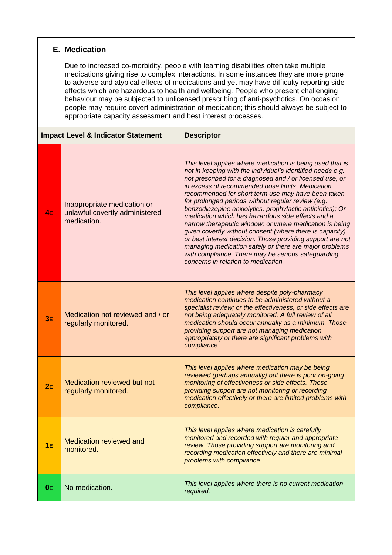### **E. Medication**

Due to increased co-morbidity, people with learning disabilities often take multiple medications giving rise to complex interactions. In some instances they are more prone to adverse and atypical effects of medications and yet may have difficulty reporting side effects which are hazardous to health and wellbeing. People who present challenging behaviour may be subjected to unlicensed prescribing of anti-psychotics. On occasion people may require covert administration of medication; this should always be subject to appropriate capacity assessment and best interest processes.

| <b>Impact Level &amp; Indicator Statement</b> |                                                                              | <b>Descriptor</b>                                                                                                                                                                                                                                                                                                                                                                                                                                                                                                                                                                                                                                                                                                                                                                                                 |
|-----------------------------------------------|------------------------------------------------------------------------------|-------------------------------------------------------------------------------------------------------------------------------------------------------------------------------------------------------------------------------------------------------------------------------------------------------------------------------------------------------------------------------------------------------------------------------------------------------------------------------------------------------------------------------------------------------------------------------------------------------------------------------------------------------------------------------------------------------------------------------------------------------------------------------------------------------------------|
| 4Е                                            | Inappropriate medication or<br>unlawful covertly administered<br>medication. | This level applies where medication is being used that is<br>not in keeping with the individual's identified needs e.g.<br>not prescribed for a diagnosed and / or licensed use, or<br>in excess of recommended dose limits. Medication<br>recommended for short term use may have been taken<br>for prolonged periods without regular review (e.g.<br>benzodiazepine anxiolytics, prophylactic antibiotics); Or<br>medication which has hazardous side effects and a<br>narrow therapeutic window: or where medication is being<br>given covertly without consent (where there is capacity)<br>or best interest decision. Those providing support are not<br>managing medication safely or there are major problems<br>with compliance. There may be serious safeguarding<br>concerns in relation to medication. |
| 3E                                            | Medication not reviewed and / or<br>regularly monitored.                     | This level applies where despite poly-pharmacy<br>medication continues to be administered without a<br>specialist review; or the effectiveness, or side effects are<br>not being adequately monitored. A full review of all<br>medication should occur annually as a minimum. Those<br>providing support are not managing medication<br>appropriately or there are significant problems with<br>compliance.                                                                                                                                                                                                                                                                                                                                                                                                       |
| 2E                                            | <b>Medication reviewed but not</b><br>regularly monitored.                   | This level applies where medication may be being<br>reviewed (perhaps annually) but there is poor on-going<br>monitoring of effectiveness or side effects. Those<br>providing support are not monitoring or recording<br>medication effectively or there are limited problems with<br>compliance.                                                                                                                                                                                                                                                                                                                                                                                                                                                                                                                 |
| 1E                                            | <b>Medication reviewed and</b><br>monitored.                                 | This level applies where medication is carefully<br>monitored and recorded with regular and appropriate<br>review. Those providing support are monitoring and<br>recording medication effectively and there are minimal<br>problems with compliance.                                                                                                                                                                                                                                                                                                                                                                                                                                                                                                                                                              |
| 0Е                                            | No medication.                                                               | This level applies where there is no current medication<br>required.                                                                                                                                                                                                                                                                                                                                                                                                                                                                                                                                                                                                                                                                                                                                              |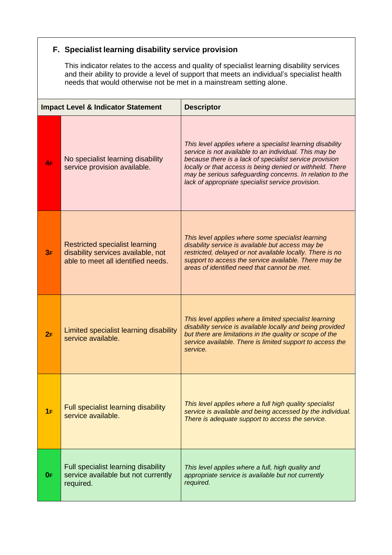### **F. Specialist learning disability service provision**

This indicator relates to the access and quality of specialist learning disability services and their ability to provide a level of support that meets an individual's specialist health needs that would otherwise not be met in a mainstream setting alone.

| <b>Impact Level &amp; Indicator Statement</b> |                                                                                                                   | <b>Descriptor</b>                                                                                                                                                                                                                                                                                                                                            |
|-----------------------------------------------|-------------------------------------------------------------------------------------------------------------------|--------------------------------------------------------------------------------------------------------------------------------------------------------------------------------------------------------------------------------------------------------------------------------------------------------------------------------------------------------------|
| 4F                                            | No specialist learning disability<br>service provision available.                                                 | This level applies where a specialist learning disability<br>service is not available to an individual. This may be<br>because there is a lack of specialist service provision<br>locally or that access is being denied or withheld. There<br>may be serious safeguarding concerns. In relation to the<br>lack of appropriate specialist service provision. |
| 3F                                            | <b>Restricted specialist learning</b><br>disability services available, not<br>able to meet all identified needs. | This level applies where some specialist learning<br>disability service is available but access may be<br>restricted, delayed or not available locally. There is no<br>support to access the service available. There may be<br>areas of identified need that cannot be met.                                                                                 |
| 2F                                            | Limited specialist learning disability<br>service available.                                                      | This level applies where a limited specialist learning<br>disability service is available locally and being provided<br>but there are limitations in the quality or scope of the<br>service available. There is limited support to access the<br>service.                                                                                                    |
| 1F                                            | <b>Full specialist learning disability</b><br>service available.                                                  | This level applies where a full high quality specialist<br>service is available and being accessed by the individual.<br>There is adequate support to access the service.                                                                                                                                                                                    |
| 0F                                            | Full specialist learning disability<br>service available but not currently<br>required.                           | This level applies where a full, high quality and<br>appropriate service is available but not currently<br>required.                                                                                                                                                                                                                                         |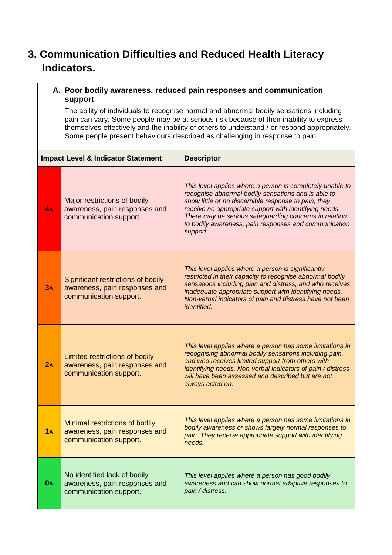### **3. Communication Difficulties and Reduced Health Literacy Indicators.**

#### **A. Poor bodily awareness, reduced pain responses and communication support**

The ability of individuals to recognise normal and abnormal bodily sensations including pain can vary. Some people may be at serious risk because of their inability to express themselves effectively and the inability of others to understand / or respond appropriately. Some people present behaviours described as challenging in response to pain.

| <b>Impact Level &amp; Indicator Statement</b> |                                                                                               | <b>Descriptor</b>                                                                                                                                                                                                                                                                                                                                                 |
|-----------------------------------------------|-----------------------------------------------------------------------------------------------|-------------------------------------------------------------------------------------------------------------------------------------------------------------------------------------------------------------------------------------------------------------------------------------------------------------------------------------------------------------------|
| 4A                                            | Major restrictions of bodily<br>awareness, pain responses and<br>communication support.       | This level applies where a person is completely unable to<br>recognise abnormal bodily sensations and is able to<br>show little or no discernible response to pain; they<br>receive no appropriate support with identifying needs.<br>There may be serious safeguarding concerns in relation<br>to bodily awareness, pain responses and communication<br>support. |
| 3A                                            | Significant restrictions of bodily<br>awareness, pain responses and<br>communication support. | This level applies where a person is significantly<br>restricted in their capacity to recognise abnormal bodily<br>sensations including pain and distress, and who receives<br>inadequate appropriate support with identifying needs.<br>Non-verbal indicators of pain and distress have not been<br><i>identified.</i>                                           |
| 2A                                            | Limited restrictions of bodily<br>awareness, pain responses and<br>communication support.     | This level applies where a person has some limitations in<br>recognising abnormal bodily sensations including pain,<br>and who receives limited support from others with<br>identifying needs. Non-verbal indicators of pain / distress<br>will have been assessed and described but are not<br>always acted on.                                                  |
| 1A                                            | Minimal restrictions of bodily<br>awareness, pain responses and<br>communication support.     | This level applies where a person has some limitations in<br>bodily awareness or shows largely normal responses to<br>pain. They receive appropriate support with identifying<br>needs.                                                                                                                                                                           |
| 0A                                            | No identified lack of bodily<br>awareness, pain responses and<br>communication support.       | This level applies where a person has good bodily<br>awareness and can show normal adaptive responses to<br>pain / distress.                                                                                                                                                                                                                                      |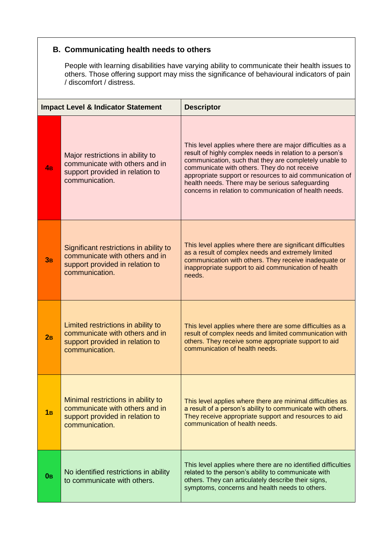### **B. Communicating health needs to others**

People with learning disabilities have varying ability to communicate their health issues to others. Those offering support may miss the significance of behavioural indicators of pain / discomfort / distress.

|                | <b>Impact Level &amp; Indicator Statement</b>                                                                                 | <b>Descriptor</b>                                                                                                                                                                                                                                                                                                                                                                                         |
|----------------|-------------------------------------------------------------------------------------------------------------------------------|-----------------------------------------------------------------------------------------------------------------------------------------------------------------------------------------------------------------------------------------------------------------------------------------------------------------------------------------------------------------------------------------------------------|
| 4B             | Major restrictions in ability to<br>communicate with others and in<br>support provided in relation to<br>communication.       | This level applies where there are major difficulties as a<br>result of highly complex needs in relation to a person's<br>communication, such that they are completely unable to<br>communicate with others. They do not receive<br>appropriate support or resources to aid communication of<br>health needs. There may be serious safeguarding<br>concerns in relation to communication of health needs. |
| 3B             | Significant restrictions in ability to<br>communicate with others and in<br>support provided in relation to<br>communication. | This level applies where there are significant difficulties<br>as a result of complex needs and extremely limited<br>communication with others. They receive inadequate or<br>inappropriate support to aid communication of health<br>needs.                                                                                                                                                              |
| 2B             | Limited restrictions in ability to<br>communicate with others and in<br>support provided in relation to<br>communication.     | This level applies where there are some difficulties as a<br>result of complex needs and limited communication with<br>others. They receive some appropriate support to aid<br>communication of health needs.                                                                                                                                                                                             |
| 1 <sub>B</sub> | Minimal restrictions in ability to<br>communicate with others and in<br>support provided in relation to<br>communication.     | This level applies where there are minimal difficulties as<br>a result of a person's ability to communicate with others.<br>They receive appropriate support and resources to aid<br>communication of health needs.                                                                                                                                                                                       |
| 0в             | No identified restrictions in ability<br>to communicate with others.                                                          | This level applies where there are no identified difficulties<br>related to the person's ability to communicate with<br>others. They can articulately describe their signs,<br>symptoms, concerns and health needs to others.                                                                                                                                                                             |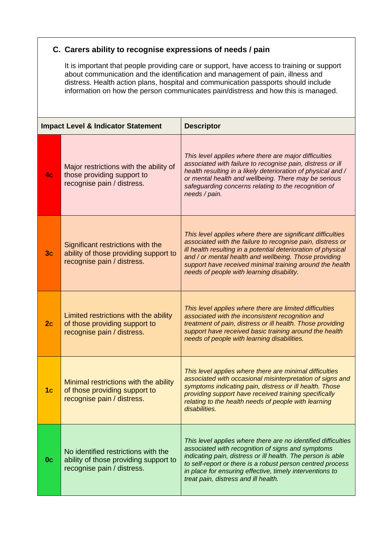### **C. Carers ability to recognise expressions of needs / pain**

It is important that people providing care or support, have access to training or support about communication and the identification and management of pain, illness and distress. Health action plans, hospital and communication passports should include information on how the person communicates pain/distress and how this is managed.

|                | <b>Impact Level &amp; Indicator Statement</b>                                                              | <b>Descriptor</b>                                                                                                                                                                                                                                                                                                                                            |
|----------------|------------------------------------------------------------------------------------------------------------|--------------------------------------------------------------------------------------------------------------------------------------------------------------------------------------------------------------------------------------------------------------------------------------------------------------------------------------------------------------|
| 4 <sub>c</sub> | Major restrictions with the ability of<br>those providing support to<br>recognise pain / distress.         | This level applies where there are major difficulties<br>associated with failure to recognise pain, distress or ill<br>health resulting in a likely deterioration of physical and /<br>or mental health and wellbeing. There may be serious<br>safeguarding concerns relating to the recognition of<br>needs / pain.                                         |
| 3 <sub>c</sub> | Significant restrictions with the<br>ability of those providing support to<br>recognise pain / distress.   | This level applies where there are significant difficulties<br>associated with the failure to recognise pain, distress or<br>ill health resulting in a potential deterioration of physical<br>and / or mental health and wellbeing. Those providing<br>support have received minimal training around the health<br>needs of people with learning disability. |
| 2c             | Limited restrictions with the ability<br>of those providing support to<br>recognise pain / distress.       | This level applies where there are limited difficulties<br>associated with the inconsistent recognition and<br>treatment of pain, distress or ill health. Those providing<br>support have received basic training around the health<br>needs of people with learning disabilities.                                                                           |
| 1 <sub>c</sub> | Minimal restrictions with the ability<br>of those providing support to<br>recognise pain / distress.       | This level applies where there are minimal difficulties<br>associated with occasional misinterpretation of signs and<br>symptoms indicating pain, distress or ill health. Those<br>providing support have received training specifically<br>relating to the health needs of people with learning<br>disabilities.                                            |
| 0 <sup>c</sup> | No identified restrictions with the<br>ability of those providing support to<br>recognise pain / distress. | This level applies where there are no identified difficulties<br>associated with recognition of signs and symptoms<br>indicating pain, distress or ill health. The person is able<br>to self-report or there is a robust person centred process<br>in place for ensuring effective, timely interventions to<br>treat pain, distress and ill health.          |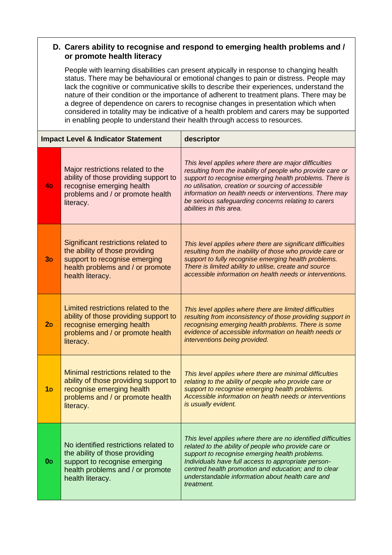### **D. Carers ability to recognise and respond to emerging health problems and / or promote health literacy**

People with learning disabilities can present atypically in response to changing health status. There may be behavioural or emotional changes to pain or distress. People may lack the cognitive or communicative skills to describe their experiences, understand the nature of their condition or the importance of adherent to treatment plans. There may be a degree of dependence on carers to recognise changes in presentation which when considered in totality may be indicative of a health problem and carers may be supported in enabling people to understand their health through access to resources.

| <b>Impact Level &amp; Indicator Statement</b> |                                                                                                                                                                  | descriptor                                                                                                                                                                                                                                                                                                                                                                        |
|-----------------------------------------------|------------------------------------------------------------------------------------------------------------------------------------------------------------------|-----------------------------------------------------------------------------------------------------------------------------------------------------------------------------------------------------------------------------------------------------------------------------------------------------------------------------------------------------------------------------------|
| 4 <sub>D</sub>                                | Major restrictions related to the<br>ability of those providing support to<br>recognise emerging health<br>problems and / or promote health<br>literacy.         | This level applies where there are major difficulties<br>resulting from the inability of people who provide care or<br>support to recognise emerging health problems. There is<br>no utilisation, creation or sourcing of accessible<br>information on health needs or interventions. There may<br>be serious safeguarding concerns relating to carers<br>abilities in this area. |
| 3D                                            | Significant restrictions related to<br>the ability of those providing<br>support to recognise emerging<br>health problems and / or promote<br>health literacy.   | This level applies where there are significant difficulties<br>resulting from the inability of those who provide care or<br>support to fully recognise emerging health problems.<br>There is limited ability to utilise, create and source<br>accessible information on health needs or interventions.                                                                            |
| 2 <sub>D</sub>                                | Limited restrictions related to the<br>ability of those providing support to<br>recognise emerging health<br>problems and / or promote health<br>literacy.       | This level applies where there are limited difficulties<br>resulting from inconsistency of those providing support in<br>recognising emerging health problems. There is some<br>evidence of accessible information on health needs or<br>interventions being provided.                                                                                                            |
| 1 <sub>D</sub>                                | Minimal restrictions related to the<br>ability of those providing support to<br>recognise emerging health<br>problems and / or promote health<br>literacy.       | This level applies where there are minimal difficulties<br>relating to the ability of people who provide care or<br>support to recognise emerging health problems.<br>Accessible information on health needs or interventions<br>is usually evident.                                                                                                                              |
| O <sub>D</sub>                                | No identified restrictions related to<br>the ability of those providing<br>support to recognise emerging<br>health problems and / or promote<br>health literacy. | This level applies where there are no identified difficulties<br>related to the ability of people who provide care or<br>support to recognise emerging health problems.<br>Individuals have full access to appropriate person-<br>centred health promotion and education; and to clear<br>understandable information about health care and<br>treatment.                          |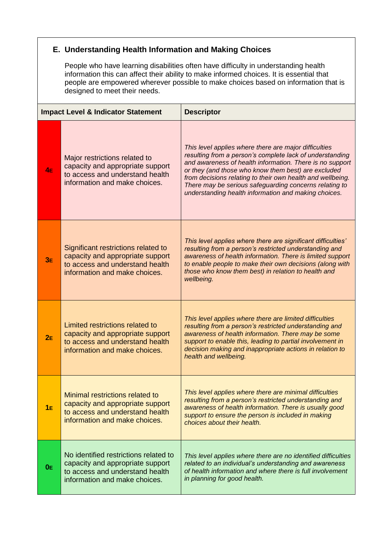### **E. Understanding Health Information and Making Choices**

People who have learning disabilities often have difficulty in understanding health information this can affect their ability to make informed choices. It is essential that people are empowered wherever possible to make choices based on information that is designed to meet their needs.

| <b>Impact Level &amp; Indicator Statement</b> |                                                                                                                                               | <b>Descriptor</b>                                                                                                                                                                                                                                                                                                                                                                                                    |
|-----------------------------------------------|-----------------------------------------------------------------------------------------------------------------------------------------------|----------------------------------------------------------------------------------------------------------------------------------------------------------------------------------------------------------------------------------------------------------------------------------------------------------------------------------------------------------------------------------------------------------------------|
| 4E                                            | Major restrictions related to<br>capacity and appropriate support<br>to access and understand health<br>information and make choices.         | This level applies where there are major difficulties<br>resulting from a person's complete lack of understanding<br>and awareness of health information. There is no support<br>or they (and those who know them best) are excluded<br>from decisions relating to their own health and wellbeing.<br>There may be serious safeguarding concerns relating to<br>understanding health information and making choices. |
| 3E                                            | Significant restrictions related to<br>capacity and appropriate support<br>to access and understand health<br>information and make choices.   | This level applies where there are significant difficulties'<br>resulting from a person's restricted understanding and<br>awareness of health information. There is limited support<br>to enable people to make their own decisions (along with<br>those who know them best) in relation to health and<br>wellbeing.                                                                                                 |
| 2E                                            | Limited restrictions related to<br>capacity and appropriate support<br>to access and understand health<br>information and make choices.       | This level applies where there are limited difficulties<br>resulting from a person's restricted understanding and<br>awareness of health information. There may be some<br>support to enable this, leading to partial involvement in<br>decision making and inappropriate actions in relation to<br>health and wellbeing.                                                                                            |
| 1E                                            | Minimal restrictions related to<br>capacity and appropriate support<br>to access and understand health<br>information and make choices.       | This level applies where there are minimal difficulties<br>resulting from a person's restricted understanding and<br>awareness of health information. There is usually good<br>support to ensure the person is included in making<br>choices about their health.                                                                                                                                                     |
| OE                                            | No identified restrictions related to<br>capacity and appropriate support<br>to access and understand health<br>information and make choices. | This level applies where there are no identified difficulties<br>related to an individual's understanding and awareness<br>of health information and where there is full involvement<br>in planning for good health.                                                                                                                                                                                                 |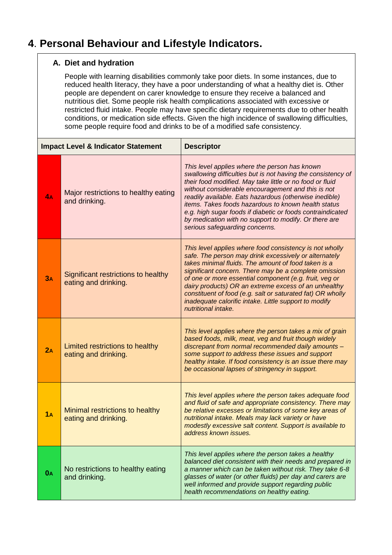### **4**. **Personal Behaviour and Lifestyle Indicators.**

### **A. Diet and hydration**

People with learning disabilities commonly take poor diets. In some instances, due to reduced health literacy, they have a poor understanding of what a healthy diet is. Other people are dependent on carer knowledge to ensure they receive a balanced and nutritious diet. Some people risk health complications associated with excessive or restricted fluid intake. People may have specific dietary requirements due to other health conditions, or medication side effects. Given the high incidence of swallowing difficulties, some people require food and drinks to be of a modified safe consistency.

| <b>Impact Level &amp; Indicator Statement</b> |                                                             | <b>Descriptor</b>                                                                                                                                                                                                                                                                                                                                                                                                                                                                                         |
|-----------------------------------------------|-------------------------------------------------------------|-----------------------------------------------------------------------------------------------------------------------------------------------------------------------------------------------------------------------------------------------------------------------------------------------------------------------------------------------------------------------------------------------------------------------------------------------------------------------------------------------------------|
| 4A                                            | Major restrictions to healthy eating<br>and drinking.       | This level applies where the person has known<br>swallowing difficulties but is not having the consistency of<br>their food modified. May take little or no food or fluid<br>without considerable encouragement and this is not<br>readily available. Eats hazardous (otherwise inedible)<br>items. Takes foods hazardous to known health status<br>e.g. high sugar foods if diabetic or foods contraindicated<br>by medication with no support to modify. Or there are<br>serious safeguarding concerns. |
| 3A                                            | Significant restrictions to healthy<br>eating and drinking. | This level applies where food consistency is not wholly<br>safe. The person may drink excessively or alternately<br>takes minimal fluids. The amount of food taken is a<br>significant concern. There may be a complete omission<br>of one or more essential component (e.g. fruit, veg or<br>dairy products) OR an extreme excess of an unhealthy<br>constituent of food (e.g. salt or saturated fat) OR wholly<br>inadequate calorific intake. Little support to modify<br>nutritional intake.          |
| 2A                                            | Limited restrictions to healthy<br>eating and drinking.     | This level applies where the person takes a mix of grain<br>based foods, milk, meat, veg and fruit though widely<br>discrepant from normal recommended daily amounts -<br>some support to address these issues and support<br>healthy intake. If food consistency is an issue there may<br>be occasional lapses of stringency in support.                                                                                                                                                                 |
| 1A                                            | Minimal restrictions to healthy<br>eating and drinking.     | This level applies where the person takes adequate food<br>and fluid of safe and appropriate consistency. There may<br>be relative excesses or limitations of some key areas of<br>nutritional intake. Meals may lack variety or have<br>modestly excessive salt content. Support is available to<br>address known issues.                                                                                                                                                                                |
| 0A                                            | No restrictions to healthy eating<br>and drinking.          | This level applies where the person takes a healthy<br>balanced diet consistent with their needs and prepared in<br>a manner which can be taken without risk. They take 6-8<br>glasses of water (or other fluids) per day and carers are<br>well informed and provide support regarding public<br>health recommendations on healthy eating.                                                                                                                                                               |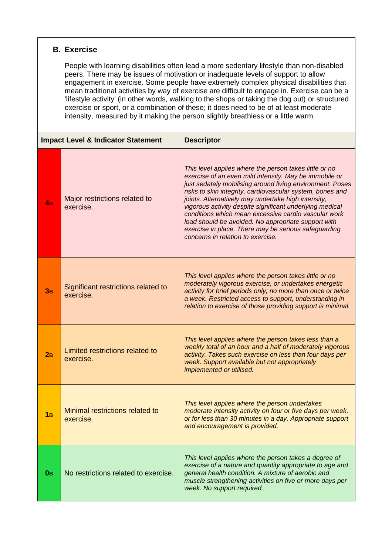#### **B. Exercise**

People with learning disabilities often lead a more sedentary lifestyle than non-disabled peers. There may be issues of motivation or inadequate levels of support to allow engagement in exercise. Some people have extremely complex physical disabilities that mean traditional activities by way of exercise are difficult to engage in. Exercise can be a 'lifestyle activity' (in other words, walking to the shops or taking the dog out) or structured exercise or sport, or a combination of these; it does need to be of at least moderate intensity, measured by it making the person slightly breathless or a little warm.

|    | <b>Impact Level &amp; Indicator Statement</b>    | <b>Descriptor</b>                                                                                                                                                                                                                                                                                                                                                                                                                                                                                                                                                         |
|----|--------------------------------------------------|---------------------------------------------------------------------------------------------------------------------------------------------------------------------------------------------------------------------------------------------------------------------------------------------------------------------------------------------------------------------------------------------------------------------------------------------------------------------------------------------------------------------------------------------------------------------------|
| 4B | Major restrictions related to<br>exercise.       | This level applies where the person takes little or no<br>exercise of an even mild intensity. May be immobile or<br>just sedately mobilising around living environment. Poses<br>risks to skin integrity, cardiovascular system, bones and<br>joints. Alternatively may undertake high intensity,<br>vigorous activity despite significant underlying medical<br>conditions which mean excessive cardio vascular work<br>load should be avoided. No appropriate support with<br>exercise in place. There may be serious safeguarding<br>concerns in relation to exercise. |
| 3B | Significant restrictions related to<br>exercise. | This level applies where the person takes little or no<br>moderately vigorous exercise, or undertakes energetic<br>activity for brief periods only; no more than once or twice<br>a week. Restricted access to support, understanding in<br>relation to exercise of those providing support is minimal.                                                                                                                                                                                                                                                                   |
| 2B | Limited restrictions related to<br>exercise.     | This level applies where the person takes less than a<br>weekly total of an hour and a half of moderately vigorous<br>activity. Takes such exercise on less than four days per<br>week. Support available but not appropriately<br>implemented or utilised.                                                                                                                                                                                                                                                                                                               |
| 1в | Minimal restrictions related to<br>exercise.     | This level applies where the person undertakes<br>moderate intensity activity on four or five days per week,<br>or for less than 30 minutes in a day. Appropriate support<br>and encouragement is provided.                                                                                                                                                                                                                                                                                                                                                               |
| 0в | No restrictions related to exercise.             | This level applies where the person takes a degree of<br>exercise of a nature and quantity appropriate to age and<br>general health condition. A mixture of aerobic and<br>muscle strengthening activities on five or more days per<br>week. No support required.                                                                                                                                                                                                                                                                                                         |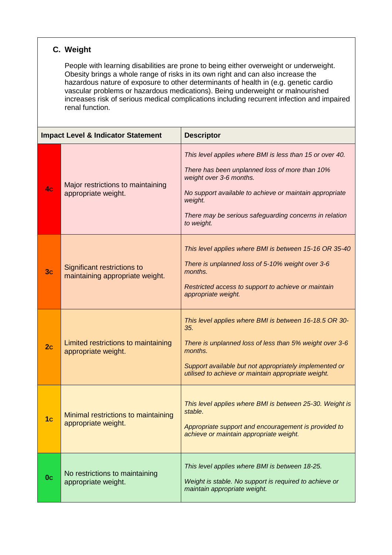### **C. Weight**

People with learning disabilities are prone to being either overweight or underweight. Obesity brings a whole range of risks in its own right and can also increase the hazardous nature of exposure to other determinants of health in (e.g. genetic cardio vascular problems or hazardous medications). Being underweight or malnourished increases risk of serious medical complications including recurrent infection and impaired renal function.

| <b>Impact Level &amp; Indicator Statement</b> |                                                                | <b>Descriptor</b>                                                                                                                                                                                                                                                                   |
|-----------------------------------------------|----------------------------------------------------------------|-------------------------------------------------------------------------------------------------------------------------------------------------------------------------------------------------------------------------------------------------------------------------------------|
| 4 <sub>c</sub>                                | Major restrictions to maintaining<br>appropriate weight.       | This level applies where BMI is less than 15 or over 40.<br>There has been unplanned loss of more than 10%<br>weight over 3-6 months.<br>No support available to achieve or maintain appropriate<br>weight.<br>There may be serious safeguarding concerns in relation<br>to weight. |
| 3 <sub>c</sub>                                | Significant restrictions to<br>maintaining appropriate weight. | This level applies where BMI is between 15-16 OR 35-40<br>There is unplanned loss of 5-10% weight over 3-6<br>months.<br>Restricted access to support to achieve or maintain<br>appropriate weight.                                                                                 |
| 2c                                            | Limited restrictions to maintaining<br>appropriate weight.     | This level applies where BMI is between 16-18.5 OR 30-<br>35.<br>There is unplanned loss of less than 5% weight over 3-6<br>months.<br>Support available but not appropriately implemented or<br>utilised to achieve or maintain appropriate weight.                                |
| 1 <sub>c</sub>                                | Minimal restrictions to maintaining<br>appropriate weight.     | This level applies where BMI is between 25-30. Weight is<br>stable.<br>Appropriate support and encouragement is provided to<br>achieve or maintain appropriate weight.                                                                                                              |
| 0 <sub>c</sub>                                | No restrictions to maintaining<br>appropriate weight.          | This level applies where BMI is between 18-25.<br>Weight is stable. No support is required to achieve or<br>maintain appropriate weight.                                                                                                                                            |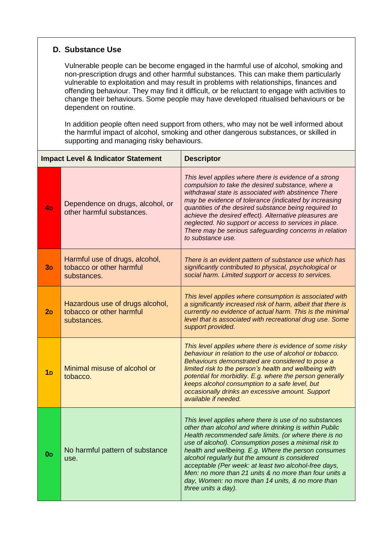### **D. Substance Use**

Vulnerable people can be become engaged in the harmful use of alcohol, smoking and non-prescription drugs and other harmful substances. This can make them particularly vulnerable to exploitation and may result in problems with relationships, finances and offending behaviour. They may find it difficult, or be reluctant to engage with activities to change their behaviours. Some people may have developed ritualised behaviours or be dependent on routine.

In addition people often need support from others, who may not be well informed about the harmful impact of alcohol, smoking and other dangerous substances, or skilled in supporting and managing risky behaviours.

| <b>Impact Level &amp; Indicator Statement</b> |                                                                            | <b>Descriptor</b>                                                                                                                                                                                                                                                                                                                                                                                                                                                                                                                          |
|-----------------------------------------------|----------------------------------------------------------------------------|--------------------------------------------------------------------------------------------------------------------------------------------------------------------------------------------------------------------------------------------------------------------------------------------------------------------------------------------------------------------------------------------------------------------------------------------------------------------------------------------------------------------------------------------|
| 4 <sub>D</sub>                                | Dependence on drugs, alcohol, or<br>other harmful substances.              | This level applies where there is evidence of a strong<br>compulsion to take the desired substance, where a<br>withdrawal state is associated with abstinence There<br>may be evidence of tolerance (indicated by increasing<br>quantities of the desired substance being required to<br>achieve the desired effect). Alternative pleasures are<br>neglected. No support or access to services in place.<br>There may be serious safeguarding concerns in relation<br>to substance use.                                                    |
| 3 <sub>D</sub>                                | Harmful use of drugs, alcohol,<br>tobacco or other harmful<br>substances.  | There is an evident pattern of substance use which has<br>significantly contributed to physical, psychological or<br>social harm. Limited support or access to services.                                                                                                                                                                                                                                                                                                                                                                   |
| 2 <sub>D</sub>                                | Hazardous use of drugs alcohol,<br>tobacco or other harmful<br>substances. | This level applies where consumption is associated with<br>a significantly increased risk of harm, albeit that there is<br>currently no evidence of actual harm. This is the minimal<br>level that is associated with recreational drug use. Some<br>support provided.                                                                                                                                                                                                                                                                     |
| 1 <sub>D</sub>                                | Minimal misuse of alcohol or<br>tobacco.                                   | This level applies where there is evidence of some risky<br>behaviour in relation to the use of alcohol or tobacco.<br>Behaviours demonstrated are considered to pose a<br>limited risk to the person's health and wellbeing with<br>potential for morbidity. E.g. where the person generally<br>keeps alcohol consumption to a safe level, but<br>occasionally drinks an excessive amount. Support<br>available if needed.                                                                                                                |
| 0 <sub>D</sub>                                | No harmful pattern of substance<br>use.                                    | This level applies where there is use of no substances<br>other than alcohol and where drinking is within Public<br>Health recommended safe limits. (or where there is no<br>use of alcohol). Consumption poses a minimal risk to<br>health and wellbeing. E.g. Where the person consumes<br>alcohol regularly but the amount is considered<br>acceptable (Per week: at least two alcohol-free days,<br>Men: no more than 21 units & no more than four units a<br>day, Women: no more than 14 units, & no more than<br>three units a day). |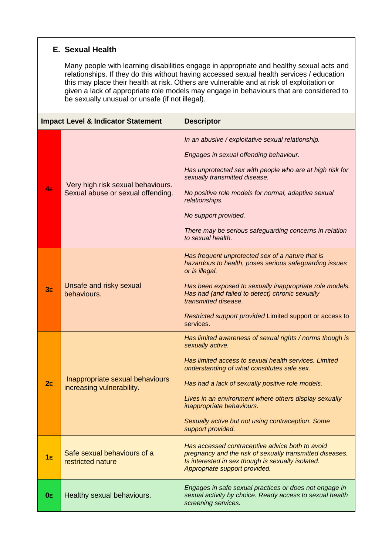### **E. Sexual Health**

Many people with learning disabilities engage in appropriate and healthy sexual acts and relationships. If they do this without having accessed sexual health services / education this may place their health at risk. Others are vulnerable and at risk of exploitation or given a lack of appropriate role models may engage in behaviours that are considered to be sexually unusual or unsafe (if not illegal).

| <b>Impact Level &amp; Indicator Statement</b> |                                                                        | <b>Descriptor</b>                                                                                                                                                                                                                                                                                                                                                                                        |
|-----------------------------------------------|------------------------------------------------------------------------|----------------------------------------------------------------------------------------------------------------------------------------------------------------------------------------------------------------------------------------------------------------------------------------------------------------------------------------------------------------------------------------------------------|
| 4E                                            | Very high risk sexual behaviours.<br>Sexual abuse or sexual offending. | In an abusive / exploitative sexual relationship.<br>Engages in sexual offending behaviour.<br>Has unprotected sex with people who are at high risk for<br>sexually transmitted disease.<br>No positive role models for normal, adaptive sexual<br>relationships.<br>No support provided.<br>There may be serious safeguarding concerns in relation<br>to sexual health.                                 |
| 3E                                            | Unsafe and risky sexual<br>behaviours.                                 | Has frequent unprotected sex of a nature that is<br>hazardous to health, poses serious safeguarding issues<br>or is illegal.<br>Has been exposed to sexually inappropriate role models.<br>Has had (and failed to detect) chronic sexually<br>transmitted disease.<br>Restricted support provided Limited support or access to<br>services.                                                              |
| 2E                                            | Inappropriate sexual behaviours<br>increasing vulnerability.           | Has limited awareness of sexual rights / norms though is<br>sexually active.<br>Has limited access to sexual health services. Limited<br>understanding of what constitutes safe sex.<br>Has had a lack of sexually positive role models.<br>Lives in an environment where others display sexually<br>inappropriate behaviours.<br>Sexually active but not using contraception. Some<br>support provided. |
| 1E                                            | Safe sexual behaviours of a<br>restricted nature                       | Has accessed contraceptive advice both to avoid<br>pregnancy and the risk of sexually transmitted diseases.<br>Is interested in sex though is sexually isolated.<br>Appropriate support provided.                                                                                                                                                                                                        |
| 0Е                                            | Healthy sexual behaviours.                                             | Engages in safe sexual practices or does not engage in<br>sexual activity by choice. Ready access to sexual health<br>screening services.                                                                                                                                                                                                                                                                |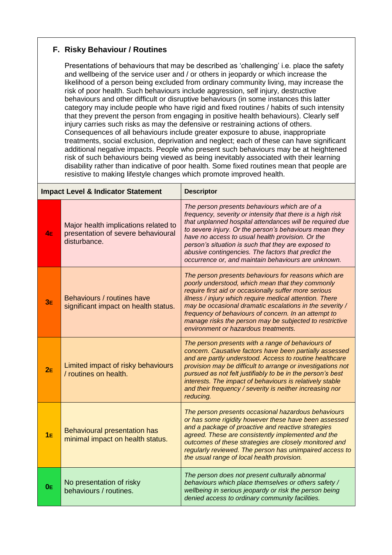### **F. Risky Behaviour / Routines**

Presentations of behaviours that may be described as 'challenging' i.e. place the safety and wellbeing of the service user and / or others in jeopardy or which increase the likelihood of a person being excluded from ordinary community living, may increase the risk of poor health. Such behaviours include aggression, self injury, destructive behaviours and other difficult or disruptive behaviours (in some instances this latter category may include people who have rigid and fixed routines / habits of such intensity that they prevent the person from engaging in positive health behaviours). Clearly self injury carries such risks as may the defensive or restraining actions of others. Consequences of all behaviours include greater exposure to abuse, inappropriate treatments, social exclusion, deprivation and neglect; each of these can have significant additional negative impacts. People who present such behaviours may be at heightened risk of such behaviours being viewed as being inevitably associated with their learning disability rather than indicative of poor health. Some fixed routines mean that people are resistive to making lifestyle changes which promote improved health.

| <b>Impact Level &amp; Indicator Statement</b> |                                                                                            | <b>Descriptor</b>                                                                                                                                                                                                                                                                                                                                                                                                                                          |
|-----------------------------------------------|--------------------------------------------------------------------------------------------|------------------------------------------------------------------------------------------------------------------------------------------------------------------------------------------------------------------------------------------------------------------------------------------------------------------------------------------------------------------------------------------------------------------------------------------------------------|
| 4Е                                            | Major health implications related to<br>presentation of severe behavioural<br>disturbance. | The person presents behaviours which are of a<br>frequency, severity or intensity that there is a high risk<br>that unplanned hospital attendances will be required due<br>to severe injury. Or the person's behaviours mean they<br>have no access to usual health provision. Or the<br>person's situation is such that they are exposed to<br>abusive contingencies. The factors that predict the<br>occurrence or, and maintain behaviours are unknown. |
| 3E                                            | Behaviours / routines have<br>significant impact on health status.                         | The person presents behaviours for reasons which are<br>poorly understood, which mean that they commonly<br>require first aid or occasionally suffer more serious<br>illness / injury which require medical attention. There<br>may be occasional dramatic escalations in the severity /<br>frequency of behaviours of concern. In an attempt to<br>manage risks the person may be subjected to restrictive<br>environment or hazardous treatments.        |
| 2E                                            | Limited impact of risky behaviours<br>/ routines on health.                                | The person presents with a range of behaviours of<br>concern. Causative factors have been partially assessed<br>and are partly understood. Access to routine healthcare<br>provision may be difficult to arrange or investigations not<br>pursued as not felt justifiably to be in the person's best<br>interests. The impact of behaviours is relatively stable<br>and their frequency / severity is neither increasing nor<br>reducing.                  |
| 1E                                            | <b>Behavioural presentation has</b><br>minimal impact on health status.                    | The person presents occasional hazardous behaviours<br>or has some rigidity however these have been assessed<br>and a package of proactive and reactive strategies<br>agreed. These are consistently implemented and the<br>outcomes of these strategies are closely monitored and<br>regularly reviewed. The person has unimpaired access to<br>the usual range of local health provision.                                                                |
| 0E                                            | No presentation of risky<br>behaviours / routines.                                         | The person does not present culturally abnormal<br>behaviours which place themselves or others safety /<br>wellbeing in serious jeopardy or risk the person being<br>denied access to ordinary community facilities.                                                                                                                                                                                                                                       |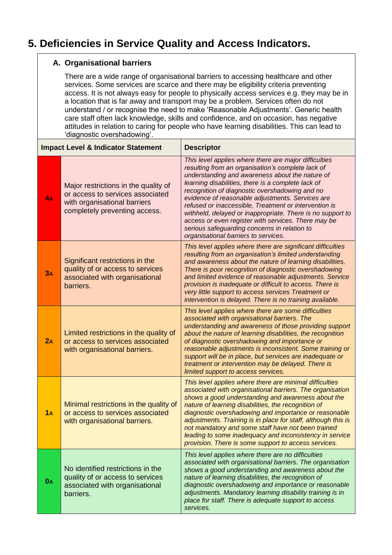### **5. Deficiencies in Service Quality and Access Indicators.**

### **A. Organisational barriers**

There are a wide range of organisational barriers to accessing healthcare and other services. Some services are scarce and there may be eligibility criteria preventing access. It is not always easy for people to physically access services e.g. they may be in a location that is far away and transport may be a problem. Services often do not understand / or recognise the need to make 'Reasonable Adjustments'. Generic health care staff often lack knowledge, skills and confidence, and on occasion, has negative attitudes in relation to caring for people who have learning disabilities. This can lead to 'diagnostic overshadowing'.

| <b>Impact Level &amp; Indicator Statement</b> |                                                                                                                                           | <b>Descriptor</b>                                                                                                                                                                                                                                                                                                                                                                                                                                                                                                                                                                               |
|-----------------------------------------------|-------------------------------------------------------------------------------------------------------------------------------------------|-------------------------------------------------------------------------------------------------------------------------------------------------------------------------------------------------------------------------------------------------------------------------------------------------------------------------------------------------------------------------------------------------------------------------------------------------------------------------------------------------------------------------------------------------------------------------------------------------|
| 4A                                            | Major restrictions in the quality of<br>or access to services associated<br>with organisational barriers<br>completely preventing access. | This level applies where there are major difficulties<br>resulting from an organisation's complete lack of<br>understanding and awareness about the nature of<br>learning disabilities, there is a complete lack of<br>recognition of diagnostic overshadowing and no<br>evidence of reasonable adjustments. Services are<br>refused or inaccessible, Treatment or intervention is<br>withheld, delayed or inappropriate. There is no support to<br>access or even register with services. There may be<br>serious safeguarding concerns in relation to<br>organisational barriers to services. |
| 3A                                            | Significant restrictions in the<br>quality of or access to services<br>associated with organisational<br>barriers.                        | This level applies where there are significant difficulties<br>resulting from an organisation's limited understanding<br>and awareness about the nature of learning disabilities,<br>There is poor recognition of diagnostic overshadowing<br>and limited evidence of reasonable adjustments. Service<br>provision is inadequate or difficult to access. There is<br>very little support to access services Treatment or<br>intervention is delayed. There is no training available.                                                                                                            |
| 2A                                            | Limited restrictions in the quality of<br>or access to services associated<br>with organisational barriers.                               | This level applies where there are some difficulties<br>associated with organisational barriers. The<br>understanding and awareness of those providing support<br>about the nature of learning disabilities, the recognition<br>of diagnostic overshadowing and importance or<br>reasonable adjustments is inconsistent. Some training or<br>support will be in place, but services are inadequate or<br>treatment or intervention may be delayed. There is<br>limited support to access services.                                                                                              |
| 1A                                            | Minimal restrictions in the quality of<br>or access to services associated<br>with organisational barriers.                               | This level applies where there are minimal difficulties<br>associated with organisational barriers. The organisation<br>shows a good understanding and awareness about the<br>nature of learning disabilities, the recognition of<br>diagnostic overshadowing and importance or reasonable<br>adjustments. Training is in place for staff, although this is<br>not mandatory and some staff have not been trained<br>leading to some inadequacy and inconsistency in service<br>provision. There is some support to access services.                                                            |
| <b>OA</b>                                     | No identified restrictions in the<br>quality of or access to services<br>associated with organisational<br>barriers.                      | This level applies where there are no difficulties<br>associated with organisational barriers. The organisation<br>shows a good understanding and awareness about the<br>nature of learning disabilities, the recognition of<br>diagnostic overshadowing and importance or reasonable<br>adjustments. Mandatory learning disability training is in<br>place for staff. There is adequate support to access<br>services.                                                                                                                                                                         |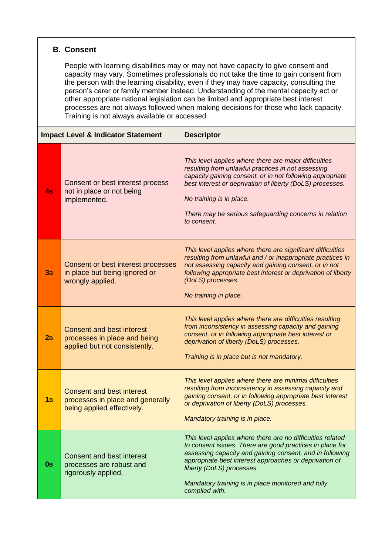### **B. Consent**

People with learning disabilities may or may not have capacity to give consent and capacity may vary. Sometimes professionals do not take the time to gain consent from the person with the learning disability, even if they may have capacity, consulting the person's carer or family member instead. Understanding of the mental capacity act or other appropriate national legislation can be limited and appropriate best interest processes are not always followed when making decisions for those who lack capacity. Training is not always available or accessed.

| <b>Impact Level &amp; Indicator Statement</b> |                                                                                                    | <b>Descriptor</b>                                                                                                                                                                                                                                                                                                                                 |
|-----------------------------------------------|----------------------------------------------------------------------------------------------------|---------------------------------------------------------------------------------------------------------------------------------------------------------------------------------------------------------------------------------------------------------------------------------------------------------------------------------------------------|
| 4в                                            | Consent or best interest process<br>not in place or not being<br>implemented.                      | This level applies where there are major difficulties<br>resulting from unlawful practices in not assessing<br>capacity gaining consent, or in not following appropriate<br>best interest or deprivation of liberty (DoLS) processes.<br>No training is in place.<br>There may be serious safeguarding concerns in relation<br>to consent.        |
| 3B                                            | Consent or best interest processes<br>in place but being ignored or<br>wrongly applied.            | This level applies where there are significant difficulties<br>resulting from unlawful and / or inappropriate practices in<br>not assessing capacity and gaining consent, or in not<br>following appropriate best interest or deprivation of liberty<br>(DoLS) processes.<br>No training in place.                                                |
| 2B                                            | <b>Consent and best interest</b><br>processes in place and being<br>applied but not consistently.  | This level applies where there are difficulties resulting<br>from inconsistency in assessing capacity and gaining<br>consent, or in following appropriate best interest or<br>deprivation of liberty (DoLS) processes.<br>Training is in place but is not mandatory.                                                                              |
| 1 <sub>B</sub>                                | <b>Consent and best interest</b><br>processes in place and generally<br>being applied effectively. | This level applies where there are minimal difficulties<br>resulting from inconsistency in assessing capacity and<br>gaining consent, or in following appropriate best interest<br>or deprivation of liberty (DoLS) processes.<br>Mandatory training is in place.                                                                                 |
| 0в                                            | <b>Consent and best interest</b><br>processes are robust and<br>rigorously applied.                | This level applies where there are no difficulties related<br>to consent issues. There are good practices in place for<br>assessing capacity and gaining consent, and in following<br>appropriate best interest approaches or deprivation of<br>liberty (DoLS) processes.<br>Mandatory training is in place monitored and fully<br>complied with. |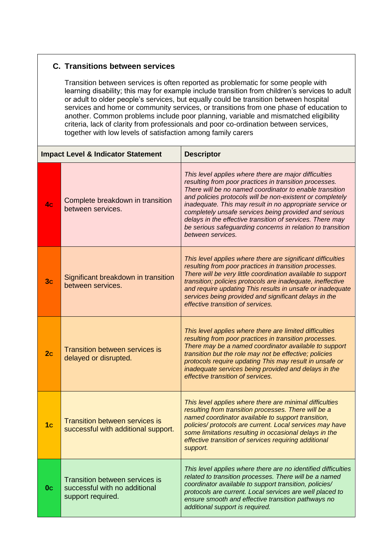### **C. Transitions between services**

Transition between services is often reported as problematic for some people with learning disability; this may for example include transition from children's services to adult or adult to older people's services, but equally could be transition between hospital services and home or community services, or transitions from one phase of education to another. Common problems include poor planning, variable and mismatched eligibility criteria, lack of clarity from professionals and poor co-ordination between services, together with low levels of satisfaction among family carers

| <b>Impact Level &amp; Indicator Statement</b> |                                                                                             | <b>Descriptor</b>                                                                                                                                                                                                                                                                                                                                                                                                                                                                                            |
|-----------------------------------------------|---------------------------------------------------------------------------------------------|--------------------------------------------------------------------------------------------------------------------------------------------------------------------------------------------------------------------------------------------------------------------------------------------------------------------------------------------------------------------------------------------------------------------------------------------------------------------------------------------------------------|
| 4 <sub>c</sub>                                | Complete breakdown in transition<br>between services.                                       | This level applies where there are major difficulties<br>resulting from poor practices in transition processes.<br>There will be no named coordinator to enable transition<br>and policies protocols will be non-existent or completely<br>inadequate. This may result in no appropriate service or<br>completely unsafe services being provided and serious<br>delays in the effective transition of services. There may<br>be serious safeguarding concerns in relation to transition<br>between services. |
| 3 <sub>c</sub>                                | Significant breakdown in transition<br>between services.                                    | This level applies where there are significant difficulties<br>resulting from poor practices in transition processes.<br>There will be very little coordination available to support<br>transition; policies protocols are inadequate, ineffective<br>and require updating This results in unsafe or inadequate<br>services being provided and significant delays in the<br>effective transition of services.                                                                                                |
| 2c                                            | <b>Transition between services is</b><br>delayed or disrupted.                              | This level applies where there are limited difficulties<br>resulting from poor practices in transition processes.<br>There may be a named coordinator available to support<br>transition but the role may not be effective; policies<br>protocols require updating This may result in unsafe or<br>inadequate services being provided and delays in the<br>effective transition of services.                                                                                                                 |
| 1 <sub>c</sub>                                | <b>Transition between services is</b><br>successful with additional support.                | This level applies where there are minimal difficulties<br>resulting from transition processes. There will be a<br>named coordinator available to support transition,<br>policies/ protocols are current. Local services may have<br>some limitations resulting in occasional delays in the<br>effective transition of services requiring additional<br>support.                                                                                                                                             |
| 0 <sub>c</sub>                                | <b>Transition between services is</b><br>successful with no additional<br>support required. | This level applies where there are no identified difficulties<br>related to transition processes. There will be a named<br>coordinator available to support transition, policies/<br>protocols are current. Local services are well placed to<br>ensure smooth and effective transition pathways no<br>additional support is required.                                                                                                                                                                       |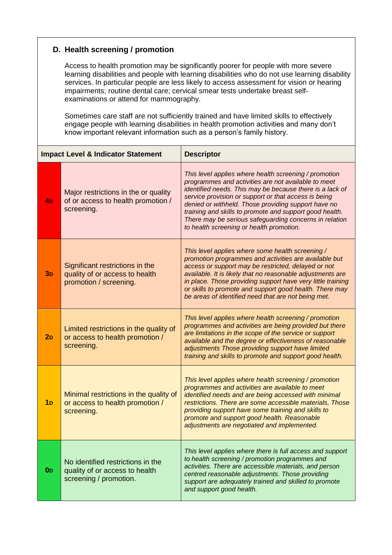### **D. Health screening / promotion**

Access to health promotion may be significantly poorer for people with more severe learning disabilities and people with learning disabilities who do not use learning disability services. In particular people are less likely to access assessment for vision or hearing impairments; routine dental care; cervical smear tests undertake breast selfexaminations or attend for mammography.

Sometimes care staff are not sufficiently trained and have limited skills to effectively engage people with learning disabilities in health promotion activities and many don't know important relevant information such as a person's family history.

| <b>Impact Level &amp; Indicator Statement</b> |                                                                                               | <b>Descriptor</b>                                                                                                                                                                                                                                                                                                                                                                                                                                        |
|-----------------------------------------------|-----------------------------------------------------------------------------------------------|----------------------------------------------------------------------------------------------------------------------------------------------------------------------------------------------------------------------------------------------------------------------------------------------------------------------------------------------------------------------------------------------------------------------------------------------------------|
| 4 <sub>D</sub>                                | Major restrictions in the or quality<br>of or access to health promotion /<br>screening.      | This level applies where health screening / promotion<br>programmes and activities are not available to meet<br>identified needs. This may be because there is a lack of<br>service provision or support or that access is being<br>denied or withheld. Those providing support have no<br>training and skills to promote and support good health.<br>There may be serious safeguarding concerns in relation<br>to health screening or health promotion. |
| 3 <sub>D</sub>                                | Significant restrictions in the<br>quality of or access to health<br>promotion / screening.   | This level applies where some health screening /<br>promotion programmes and activities are available but<br>access or support may be restricted, delayed or not<br>available. It is likely that no reasonable adjustments are<br>in place. Those providing support have very little training<br>or skills to promote and support good health. There may<br>be areas of identified need that are not being met.                                          |
| 2 <sub>D</sub>                                | Limited restrictions in the quality of<br>or access to health promotion /<br>screening.       | This level applies where health screening / promotion<br>programmes and activities are being provided but there<br>are limitations in the scope of the service or support<br>available and the degree or effectiveness of reasonable<br>adjustments Those providing support have limited<br>training and skills to promote and support good health.                                                                                                      |
| 1 <sub>D</sub>                                | Minimal restrictions in the quality of<br>or access to health promotion /<br>screening.       | This level applies where health screening / promotion<br>programmes and activities are available to meet<br>identified needs and are being accessed with minimal<br>restrictions. There are some accessible materials, Those<br>providing support have some training and skills to<br>promote and support good health. Reasonable<br>adjustments are negotiated and implemented.                                                                         |
| 0 <sub>D</sub>                                | No identified restrictions in the<br>quality of or access to health<br>screening / promotion. | This level applies where there is full access and support<br>to health screening / promotion programmes and<br>activities. There are accessible materials, and person<br>centred reasonable adjustments. Those providing<br>support are adequately trained and skilled to promote<br>and support good health.                                                                                                                                            |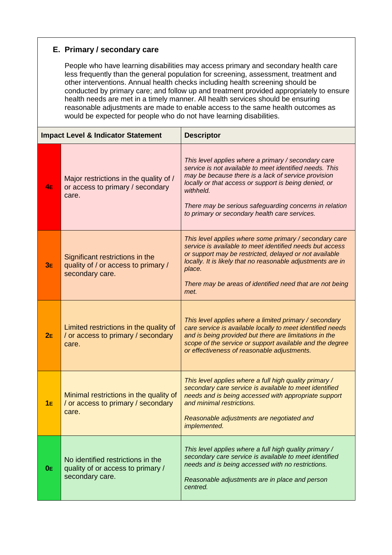### **E. Primary / secondary care**

People who have learning disabilities may access primary and secondary health care less frequently than the general population for screening, assessment, treatment and other interventions. Annual health checks including health screening should be conducted by primary care; and follow up and treatment provided appropriately to ensure health needs are met in a timely manner. All health services should be ensuring reasonable adjustments are made to enable access to the same health outcomes as would be expected for people who do not have learning disabilities.

| <b>Impact Level &amp; Indicator Statement</b> |                                                                                           | <b>Descriptor</b>                                                                                                                                                                                                                                                                                                                                      |
|-----------------------------------------------|-------------------------------------------------------------------------------------------|--------------------------------------------------------------------------------------------------------------------------------------------------------------------------------------------------------------------------------------------------------------------------------------------------------------------------------------------------------|
| <b>4E</b>                                     | Major restrictions in the quality of /<br>or access to primary / secondary<br>care.       | This level applies where a primary / secondary care<br>service is not available to meet identified needs. This<br>may be because there is a lack of service provision<br>locally or that access or support is being denied, or<br>withheld.<br>There may be serious safeguarding concerns in relation<br>to primary or secondary health care services. |
| 3E                                            | Significant restrictions in the<br>quality of / or access to primary /<br>secondary care. | This level applies where some primary / secondary care<br>service is available to meet identified needs but access<br>or support may be restricted, delayed or not available<br>locally. It is likely that no reasonable adjustments are in<br>place.<br>There may be areas of identified need that are not being<br>met.                              |
| 2E                                            | Limited restrictions in the quality of<br>/ or access to primary / secondary<br>care.     | This level applies where a limited primary / secondary<br>care service is available locally to meet identified needs<br>and is being provided but there are limitations in the<br>scope of the service or support available and the degree<br>or effectiveness of reasonable adjustments.                                                              |
| 1E                                            | Minimal restrictions in the quality of<br>/ or access to primary / secondary<br>care.     | This level applies where a full high quality primary /<br>secondary care service is available to meet identified<br>needs and is being accessed with appropriate support<br>and minimal restrictions.<br>Reasonable adjustments are negotiated and<br>implemented.                                                                                     |
| 0E                                            | No identified restrictions in the<br>quality of or access to primary /<br>secondary care. | This level applies where a full high quality primary /<br>secondary care service is available to meet identified<br>needs and is being accessed with no restrictions.<br>Reasonable adjustments are in place and person<br>centred.                                                                                                                    |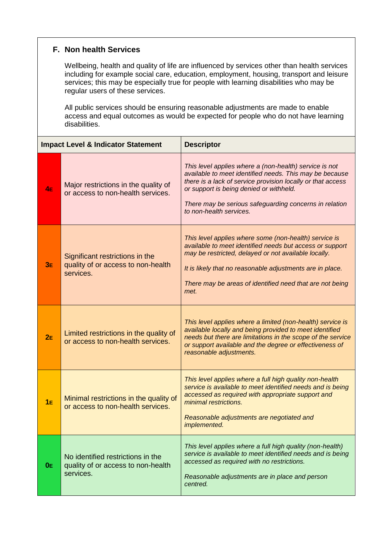### **F. Non health Services**

Wellbeing, health and quality of life are influenced by services other than health services including for example social care, education, employment, housing, transport and leisure services; this may be especially true for people with learning disabilities who may be regular users of these services.

All public services should be ensuring reasonable adjustments are made to enable access and equal outcomes as would be expected for people who do not have learning disabilities.

| <b>Impact Level &amp; Indicator Statement</b> |                                                                                      | <b>Descriptor</b>                                                                                                                                                                                                                                                                                                |
|-----------------------------------------------|--------------------------------------------------------------------------------------|------------------------------------------------------------------------------------------------------------------------------------------------------------------------------------------------------------------------------------------------------------------------------------------------------------------|
| 4E                                            | Major restrictions in the quality of<br>or access to non-health services.            | This level applies where a (non-health) service is not<br>available to meet identified needs. This may be because<br>there is a lack of service provision locally or that access<br>or support is being denied or withheld.<br>There may be serious safeguarding concerns in relation<br>to non-health services. |
| 3Е                                            | Significant restrictions in the<br>quality of or access to non-health<br>services.   | This level applies where some (non-health) service is<br>available to meet identified needs but access or support<br>may be restricted, delayed or not available locally.<br>It is likely that no reasonable adjustments are in place.<br>There may be areas of identified need that are not being<br>met.       |
| 2E                                            | Limited restrictions in the quality of<br>or access to non-health services.          | This level applies where a limited (non-health) service is<br>available locally and being provided to meet identified<br>needs but there are limitations in the scope of the service<br>or support available and the degree or effectiveness of<br>reasonable adjustments.                                       |
| 1 <sub>E</sub>                                | Minimal restrictions in the quality of<br>or access to non-health services.          | This level applies where a full high quality non-health<br>service is available to meet identified needs and is being<br>accessed as required with appropriate support and<br>minimal restrictions.<br>Reasonable adjustments are negotiated and<br>implemented.                                                 |
| 0Е                                            | No identified restrictions in the<br>quality of or access to non-health<br>services. | This level applies where a full high quality (non-health)<br>service is available to meet identified needs and is being<br>accessed as required with no restrictions.<br>Reasonable adjustments are in place and person<br>centred.                                                                              |